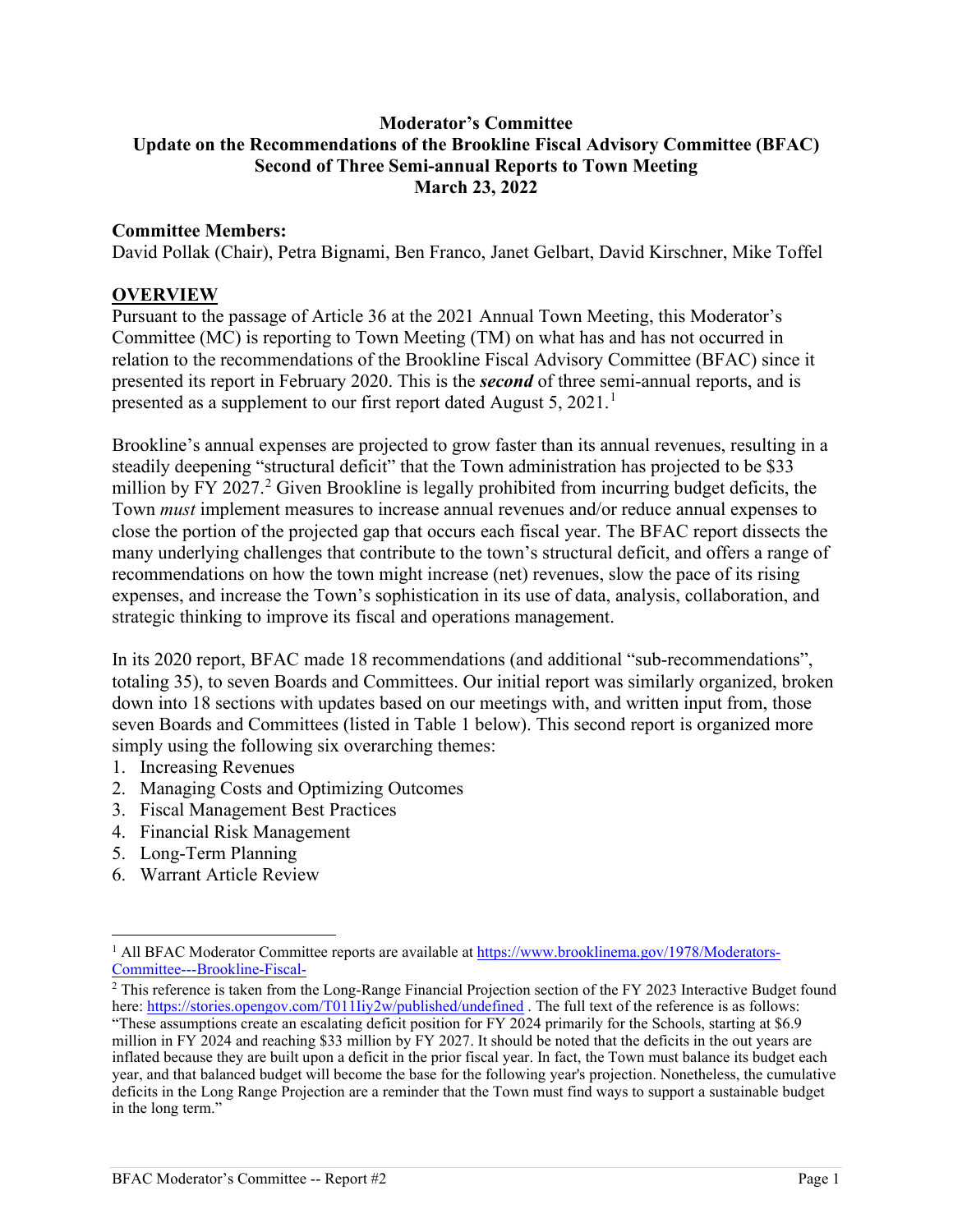#### **Moderator's Committee Update on the Recommendations of the Brookline Fiscal Advisory Committee (BFAC) Second of Three Semi-annual Reports to Town Meeting March 23, 2022**

#### **Committee Members:**

David Pollak (Chair), Petra Bignami, Ben Franco, Janet Gelbart, David Kirschner, Mike Toffel

#### **OVERVIEW**

Pursuant to the passage of Article 36 at the 2021 Annual Town Meeting, this Moderator's Committee (MC) is reporting to Town Meeting (TM) on what has and has not occurred in relation to the recommendations of the Brookline Fiscal Advisory Committee (BFAC) since it presented its report in February 2020. This is the *second* of three semi-annual reports, and is presented as a supplement to our first report dated August 5,  $2021$  $2021$ .<sup>1</sup>

Brookline's annual expenses are projected to grow faster than its annual revenues, resulting in a steadily deepening "structural deficit" that the Town administration has projected to be \$33 million by FY [2](#page-0-1)027.<sup>2</sup> Given Brookline is legally prohibited from incurring budget deficits, the Town *must* implement measures to increase annual revenues and/or reduce annual expenses to close the portion of the projected gap that occurs each fiscal year. The BFAC report dissects the many underlying challenges that contribute to the town's structural deficit, and offers a range of recommendations on how the town might increase (net) revenues, slow the pace of its rising expenses, and increase the Town's sophistication in its use of data, analysis, collaboration, and strategic thinking to improve its fiscal and operations management.

In its 2020 report, BFAC made 18 recommendations (and additional "sub-recommendations", totaling 35), to seven Boards and Committees. Our initial report was similarly organized, broken down into 18 sections with updates based on our meetings with, and written input from, those seven Boards and Committees (listed in Table 1 below). This second report is organized more simply using the following six overarching themes:

- 1. Increasing Revenues
- 2. Managing Costs and Optimizing Outcomes
- 3. Fiscal Management Best Practices
- 4. Financial Risk Management
- 5. Long-Term Planning
- 6. Warrant Article Review

<span id="page-0-0"></span><sup>&</sup>lt;sup>1</sup> All BFAC Moderator Committee reports are available a[t https://www.brooklinema.gov/1978/Moderators-](https://www.brooklinema.gov/1978/Moderators-Committee---Brookline-Fiscal-)[Committee---Brookline-Fiscal-](https://www.brooklinema.gov/1978/Moderators-Committee---Brookline-Fiscal-)

<span id="page-0-1"></span><sup>&</sup>lt;sup>2</sup> This reference is taken from the Long-Range Financial Projection section of the FY 2023 Interactive Budget found here[: https://stories.opengov.com/T011Iiy2w/published/undefined](https://stories.opengov.com/T011Iiy2w/published/undefined). The full text of the reference is as follows: "These assumptions create an escalating deficit position for FY 2024 primarily for the Schools, starting at \$6.9 million in FY 2024 and reaching \$33 million by FY 2027. It should be noted that the deficits in the out years are inflated because they are built upon a deficit in the prior fiscal year. In fact, the Town must balance its budget each year, and that balanced budget will become the base for the following year's projection. Nonetheless, the cumulative deficits in the Long Range Projection are a reminder that the Town must find ways to support a sustainable budget in the long term."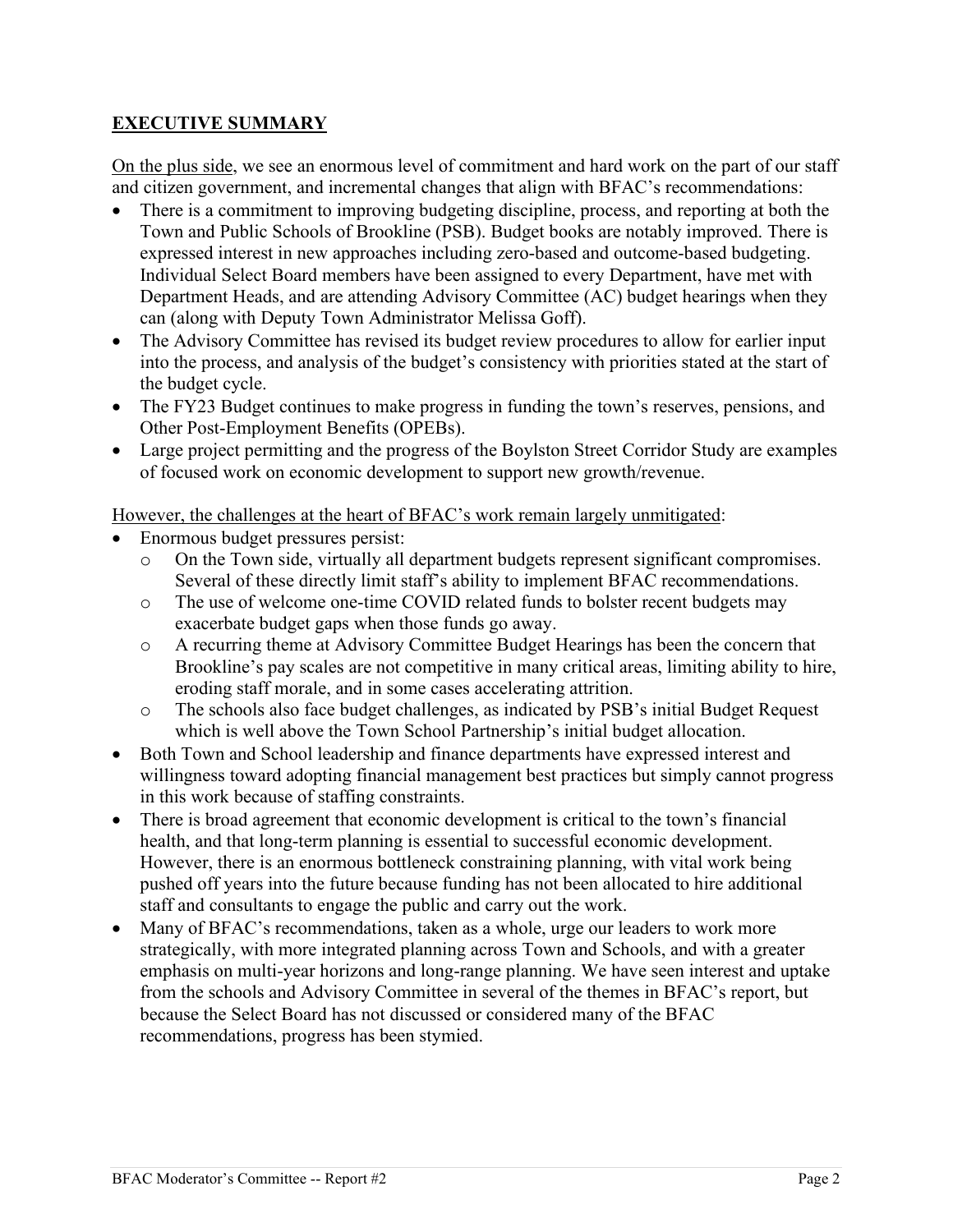### **EXECUTIVE SUMMARY**

On the plus side, we see an enormous level of commitment and hard work on the part of our staff and citizen government, and incremental changes that align with BFAC's recommendations:

- There is a commitment to improving budgeting discipline, process, and reporting at both the Town and Public Schools of Brookline (PSB). Budget books are notably improved. There is expressed interest in new approaches including zero-based and outcome-based budgeting. Individual Select Board members have been assigned to every Department, have met with Department Heads, and are attending Advisory Committee (AC) budget hearings when they can (along with Deputy Town Administrator Melissa Goff).
- The Advisory Committee has revised its budget review procedures to allow for earlier input into the process, and analysis of the budget's consistency with priorities stated at the start of the budget cycle.
- The FY23 Budget continues to make progress in funding the town's reserves, pensions, and Other Post-Employment Benefits (OPEBs).
- Large project permitting and the progress of the Boylston Street Corridor Study are examples of focused work on economic development to support new growth/revenue.

However, the challenges at the heart of BFAC's work remain largely unmitigated:

- Enormous budget pressures persist:
	- o On the Town side, virtually all department budgets represent significant compromises. Several of these directly limit staff's ability to implement BFAC recommendations.
	- o The use of welcome one-time COVID related funds to bolster recent budgets may exacerbate budget gaps when those funds go away.
	- o A recurring theme at Advisory Committee Budget Hearings has been the concern that Brookline's pay scales are not competitive in many critical areas, limiting ability to hire, eroding staff morale, and in some cases accelerating attrition.
	- o The schools also face budget challenges, as indicated by PSB's initial Budget Request which is well above the Town School Partnership's initial budget allocation.
- Both Town and School leadership and finance departments have expressed interest and willingness toward adopting financial management best practices but simply cannot progress in this work because of staffing constraints.
- There is broad agreement that economic development is critical to the town's financial health, and that long-term planning is essential to successful economic development. However, there is an enormous bottleneck constraining planning, with vital work being pushed off years into the future because funding has not been allocated to hire additional staff and consultants to engage the public and carry out the work.
- Many of BFAC's recommendations, taken as a whole, urge our leaders to work more strategically, with more integrated planning across Town and Schools, and with a greater emphasis on multi-year horizons and long-range planning. We have seen interest and uptake from the schools and Advisory Committee in several of the themes in BFAC's report, but because the Select Board has not discussed or considered many of the BFAC recommendations, progress has been stymied.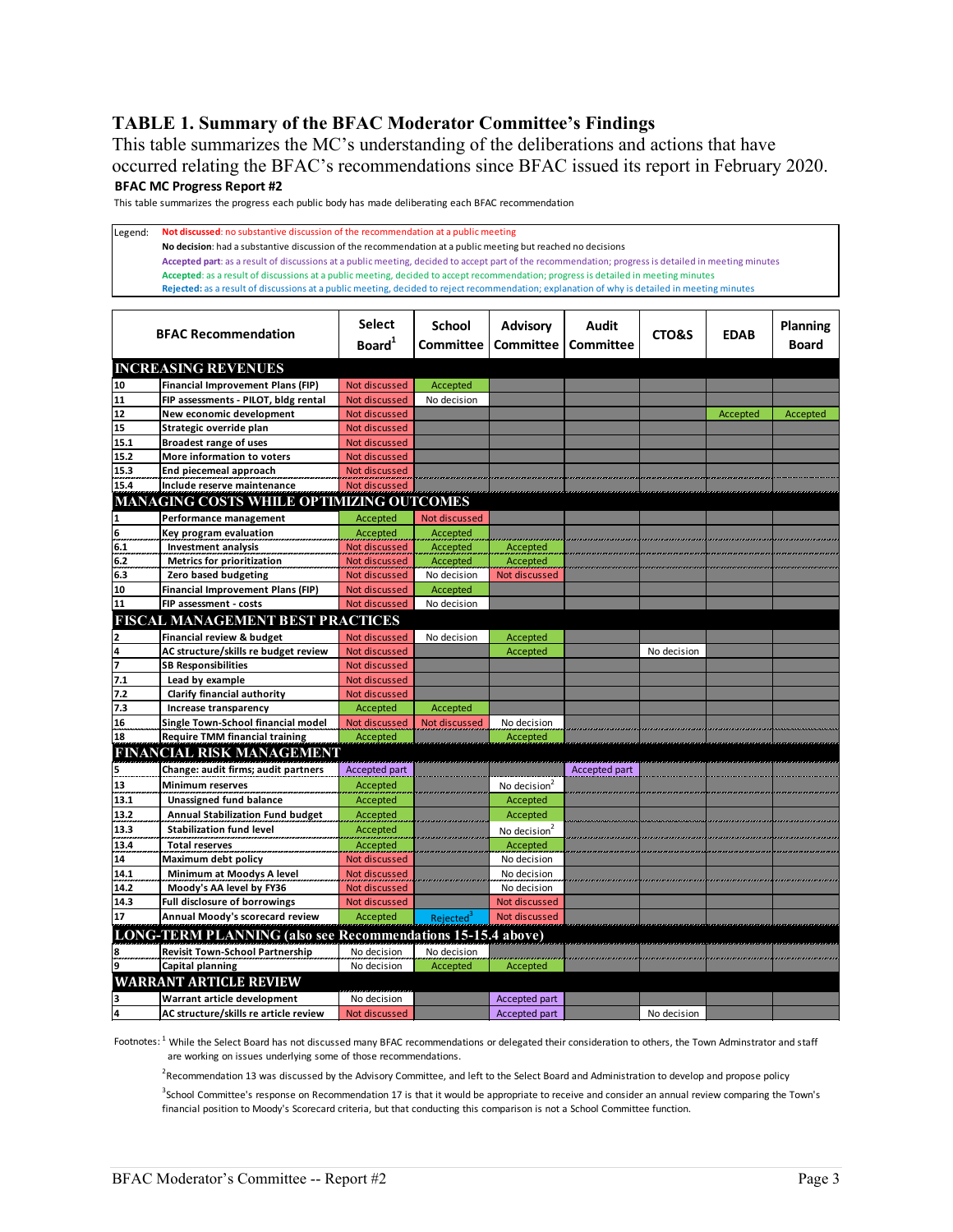#### **TABLE 1. Summary of the BFAC Moderator Committee's Findings**

This table summarizes the MC's understanding of the deliberations and actions that have occurred relating the BFAC's recommendations since BFAC issued its report in February 2020. **BFAC MC Progress Report #2**

This table summarizes the progress each public body has made deliberating each BFAC recommendation

Legend: **Not discussed**: no substantive discussion of the recommendation at a public meeting **No decision**: had a substantive discussion of the recommendation at a public meeting but reached no decisions **Accepted part**: as a result of discussions at a public meeting, decided to accept part of the recommendation; progress is detailed in meeting minutes **Accepted**: as a result of discussions at a public meeting, decided to accept recommendation; progress is detailed in meeting minutes **Rejected:** as a result of discussions at a public meeting, decided to reject recommendation; explanation of why is detailed in meeting minutes

|                                                 | <b>BFAC Recommendation</b>                                         | <b>Select</b><br>Board <sup>1</sup> | <b>School</b><br>Committee | <b>Advisory</b><br><b>Committee</b> | Audit<br>Committee | CTO&S       | <b>EDAB</b> | Planning<br><b>Board</b> |  |
|-------------------------------------------------|--------------------------------------------------------------------|-------------------------------------|----------------------------|-------------------------------------|--------------------|-------------|-------------|--------------------------|--|
| <b>INCREASING REVENUES</b>                      |                                                                    |                                     |                            |                                     |                    |             |             |                          |  |
| 10                                              | <b>Financial Improvement Plans (FIP)</b>                           | Not discussed                       | Accepted                   |                                     |                    |             |             |                          |  |
| 11                                              | FIP assessments - PILOT, bldg rental                               | Not discussed                       | No decision                |                                     |                    |             |             |                          |  |
| 12                                              | New economic development                                           | Not discussed                       |                            |                                     |                    |             | Accepted    | <b>Accepted</b>          |  |
| 15                                              | Strategic override plan                                            | Not discussed                       |                            |                                     |                    |             |             |                          |  |
| 15.1                                            | <b>Broadest range of uses</b>                                      | Not discussed                       |                            |                                     |                    |             |             |                          |  |
| 15.2                                            | More information to voters                                         | Not discussed                       |                            |                                     |                    |             |             |                          |  |
| 15.3                                            | End piecemeal approach                                             | Not discussed                       |                            |                                     |                    |             |             |                          |  |
| 15.4                                            | Include reserve maintenance                                        | <b>Not discussed</b>                |                            |                                     |                    |             |             |                          |  |
| <b>MANAGING COSTS WHILE OPTIMIZING OUTCOMES</b> |                                                                    |                                     |                            |                                     |                    |             |             |                          |  |
| 1                                               | Performance management                                             | Accepted                            | Not discussed              |                                     |                    |             |             |                          |  |
| 6                                               | Key program evaluation                                             | Accepted                            | <b>Accepted</b>            |                                     |                    |             |             |                          |  |
| 6.1                                             | <b>Investment analysis</b>                                         | Not discussed                       | Accepted                   | Accepted                            |                    |             |             |                          |  |
| 6.2                                             | <b>Metrics for prioritization</b>                                  | Not discussed                       | Accepted                   | Accepted                            |                    |             |             |                          |  |
| 6.3                                             | Zero based budgeting                                               | Not discussed                       | No decision                | Not discussed                       |                    |             |             |                          |  |
| 10                                              | <b>Financial Improvement Plans (FIP)</b>                           | Not discussed                       | Accepted                   |                                     |                    |             |             |                          |  |
| 11                                              | FIP assessment - costs                                             | Not discussed                       | No decision                |                                     |                    |             |             |                          |  |
|                                                 | <b>FISCAL MANAGEMENT BEST PRACTICES</b>                            |                                     |                            |                                     |                    |             |             |                          |  |
| 2                                               | Financial review & budget                                          | Not discussed                       | No decision                | Accepted                            |                    |             |             |                          |  |
| $\frac{4}{7}$                                   | AC structure/skills re budget review                               | Not discussed                       |                            | Accepted                            |                    | No decision |             |                          |  |
|                                                 | <b>SB Responsibilities</b>                                         | Not discussed                       |                            |                                     |                    |             |             |                          |  |
| 7.1                                             | Lead by example                                                    | Not discussed                       |                            |                                     |                    |             |             |                          |  |
| 7.2                                             | Clarify financial authority                                        | Not discussed                       |                            |                                     |                    |             |             |                          |  |
| 7.3                                             | Increase transparency                                              | Accepted                            | Accepted                   |                                     |                    |             |             |                          |  |
| 16<br>18                                        | Single Town-School financial model                                 | Not discussed                       | Not discussed              | No decision                         |                    |             |             |                          |  |
|                                                 | <b>Require TMM financial training</b>                              | Accepted                            |                            | Accepted                            |                    |             |             |                          |  |
|                                                 | <b>FINANCIAL RISK MANAGEMENT</b>                                   |                                     |                            |                                     |                    |             |             |                          |  |
| 5                                               | Change: audit firms; audit partners                                | Accepted part                       |                            |                                     | Accepted part      |             |             |                          |  |
| 13                                              | <b>Minimum reserves</b>                                            | Accepted                            |                            | No decision <sup>2</sup>            |                    |             |             |                          |  |
| 13.1                                            | <b>Unassigned fund balance</b>                                     | Accepted                            |                            | Accepted                            |                    |             |             |                          |  |
| 13.2                                            | <b>Annual Stabilization Fund budget</b>                            | Accepted                            |                            | Accepted                            |                    |             |             |                          |  |
| 13.3                                            | <b>Stabilization fund level</b>                                    | Accepted                            |                            | No decision <sup>2</sup>            |                    |             |             |                          |  |
| 13.4                                            | <b>Total reserves</b>                                              | Accepted                            |                            | Accepted                            |                    |             |             |                          |  |
| 14                                              | Maximum debt policy                                                | Not discussed                       |                            | No decision                         |                    |             |             |                          |  |
| 14.1                                            | Minimum at Moodys A level                                          | Not discussed                       |                            | No decision                         |                    |             |             |                          |  |
| 14.2                                            | Moody's AA level by FY36                                           | Not discussed                       |                            | No decision                         |                    |             |             |                          |  |
| 14.3                                            | Full disclosure of borrowings                                      | Not discussed                       |                            | Not discussed                       |                    |             |             |                          |  |
| 17                                              | Annual Moody's scorecard review                                    | Accepted                            | Rejected <sup>3</sup>      | Not discussed                       |                    |             |             |                          |  |
|                                                 | <b>LONG-TERM PLANNING (also see Recommendations 15-15.4 above)</b> |                                     |                            |                                     |                    |             |             |                          |  |
| 8                                               | <b>Revisit Town-School Partnership</b>                             | No decision                         | No decision                |                                     |                    |             |             |                          |  |
| 9                                               | <b>Capital planning</b>                                            | No decision                         | Accepted                   | Accepted                            |                    |             |             |                          |  |
|                                                 | <b>WARRANT ARTICLE REVIEW</b>                                      |                                     |                            |                                     |                    |             |             |                          |  |
| з                                               | Warrant article development                                        | No decision                         |                            | Accepted part                       |                    |             |             |                          |  |
| 4                                               | AC structure/skills re article review                              | Not discussed                       |                            | Accepted part                       |                    | No decision |             |                          |  |

Footnotes: <sup>1</sup> While the Select Board has not discussed many BFAC recommendations or delegated their consideration to others, the Town Adminstrator and staff are working on issues underlying some of those recommendations.

<sup>2</sup> Recommendation 13 was discussed by the Advisory Committee, and left to the Select Board and Administration to develop and propose policy

<sup>3</sup>School Committee's response on Recommendation 17 is that it would be appropriate to receive and consider an annual review comparing the Town's financial position to Moody's Scorecard criteria, but that conducting this comparison is not a School Committee function.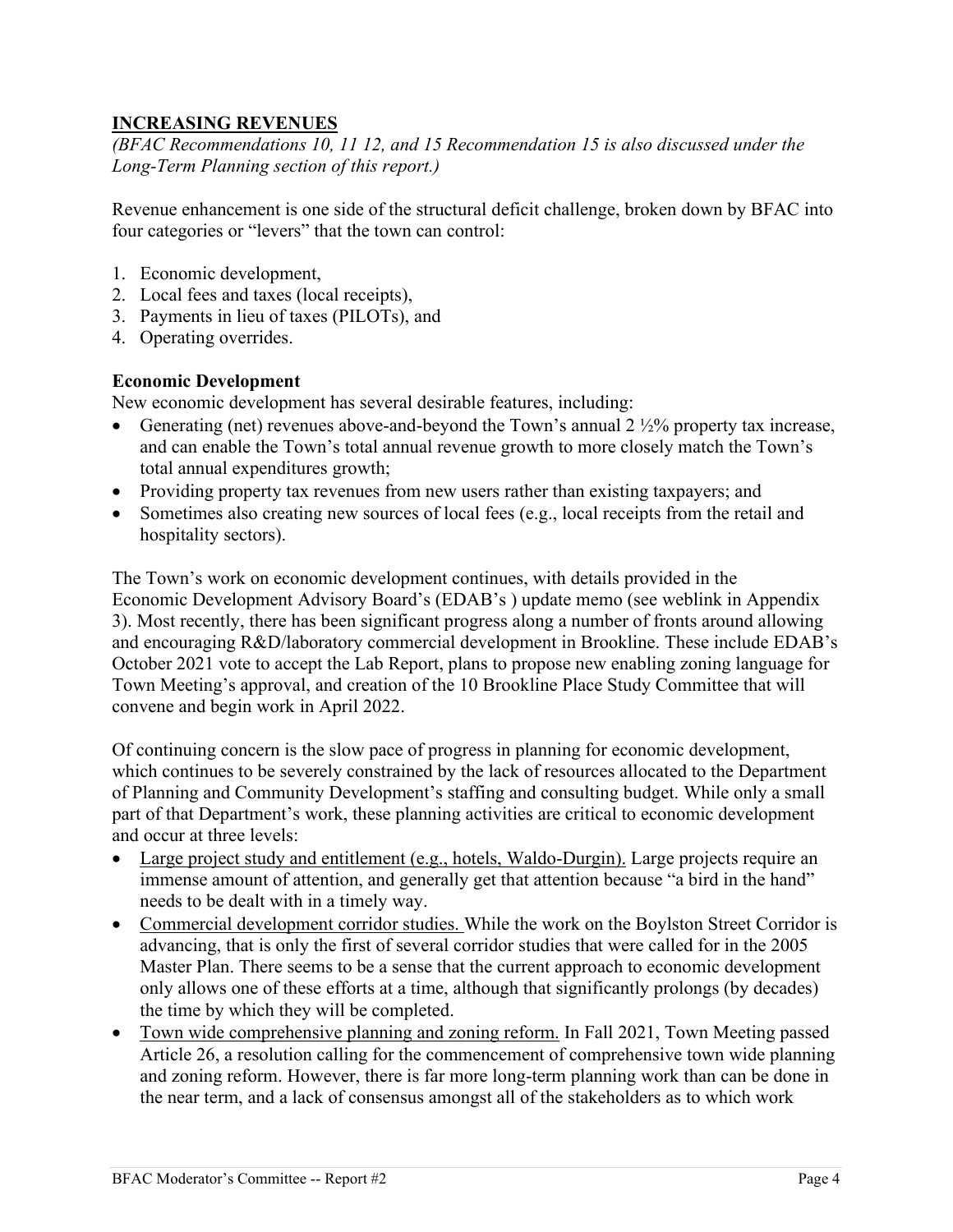## **INCREASING REVENUES**

*(BFAC Recommendations 10, 11 12, and 15 Recommendation 15 is also discussed under the Long-Term Planning section of this report.)* 

Revenue enhancement is one side of the structural deficit challenge, broken down by BFAC into four categories or "levers" that the town can control:

- 1. Economic development,
- 2. Local fees and taxes (local receipts),
- 3. Payments in lieu of taxes (PILOTs), and
- 4. Operating overrides.

#### **Economic Development**

New economic development has several desirable features, including:

- Generating (net) revenues above-and-beyond the Town's annual  $2\frac{1}{2}\%$  property tax increase, and can enable the Town's total annual revenue growth to more closely match the Town's total annual expenditures growth;
- Providing property tax revenues from new users rather than existing taxpayers; and
- Sometimes also creating new sources of local fees (e.g., local receipts from the retail and hospitality sectors).

The Town's work on economic development continues, with details provided in the Economic Development Advisory Board's (EDAB's ) update memo (see weblink in Appendix 3). Most recently, there has been significant progress along a number of fronts around allowing and encouraging R&D/laboratory commercial development in Brookline. These include EDAB's October 2021 vote to accept the Lab Report, plans to propose new enabling zoning language for Town Meeting's approval, and creation of the 10 Brookline Place Study Committee that will convene and begin work in April 2022.

Of continuing concern is the slow pace of progress in planning for economic development, which continues to be severely constrained by the lack of resources allocated to the Department of Planning and Community Development's staffing and consulting budget. While only a small part of that Department's work, these planning activities are critical to economic development and occur at three levels:

- Large project study and entitlement (e.g., hotels, Waldo-Durgin). Large projects require an immense amount of attention, and generally get that attention because "a bird in the hand" needs to be dealt with in a timely way.
- Commercial development corridor studies. While the work on the Boylston Street Corridor is advancing, that is only the first of several corridor studies that were called for in the 2005 Master Plan. There seems to be a sense that the current approach to economic development only allows one of these efforts at a time, although that significantly prolongs (by decades) the time by which they will be completed.
- Town wide comprehensive planning and zoning reform. In Fall 2021, Town Meeting passed Article 26, a resolution calling for the commencement of comprehensive town wide planning and zoning reform. However, there is far more long-term planning work than can be done in the near term, and a lack of consensus amongst all of the stakeholders as to which work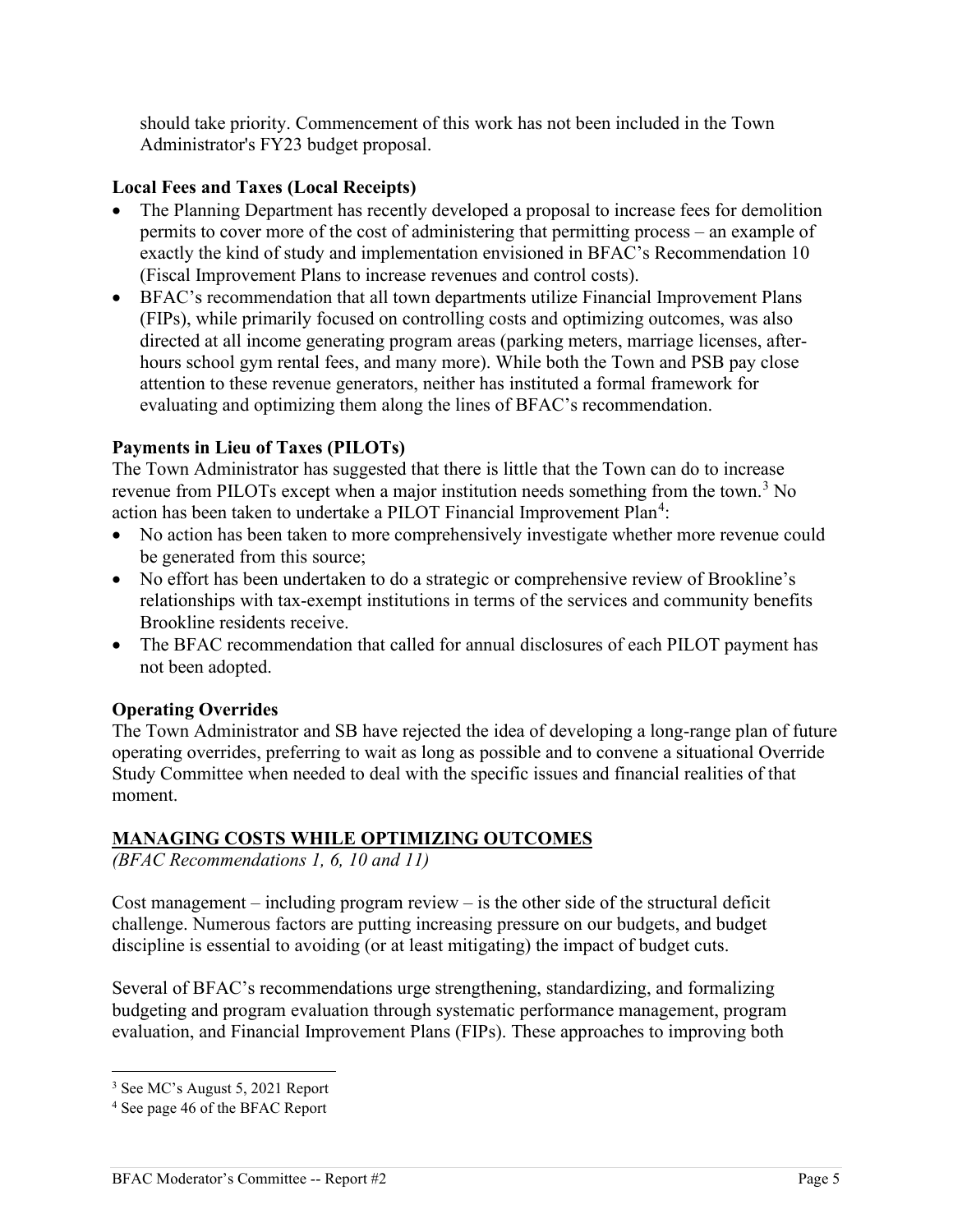should take priority. Commencement of this work has not been included in the Town Administrator's FY23 budget proposal.

### **Local Fees and Taxes (Local Receipts)**

- The Planning Department has recently developed a proposal to increase fees for demolition permits to cover more of the cost of administering that permitting process – an example of exactly the kind of study and implementation envisioned in BFAC's Recommendation 10 (Fiscal Improvement Plans to increase revenues and control costs).
- BFAC's recommendation that all town departments utilize Financial Improvement Plans (FIPs), while primarily focused on controlling costs and optimizing outcomes, was also directed at all income generating program areas (parking meters, marriage licenses, afterhours school gym rental fees, and many more). While both the Town and PSB pay close attention to these revenue generators, neither has instituted a formal framework for evaluating and optimizing them along the lines of BFAC's recommendation.

### **Payments in Lieu of Taxes (PILOTs)**

The Town Administrator has suggested that there is little that the Town can do to increase revenue from PILOTs except when a major institution needs something from the town.<sup>[3](#page-4-0)</sup> No action has been taken to undertake a PILOT Financial Improvement Plan<sup>[4](#page-4-1)</sup>:

- No action has been taken to more comprehensively investigate whether more revenue could be generated from this source;
- No effort has been undertaken to do a strategic or comprehensive review of Brookline's relationships with tax-exempt institutions in terms of the services and community benefits Brookline residents receive.
- The BFAC recommendation that called for annual disclosures of each PILOT payment has not been adopted.

## **Operating Overrides**

The Town Administrator and SB have rejected the idea of developing a long-range plan of future operating overrides, preferring to wait as long as possible and to convene a situational Override Study Committee when needed to deal with the specific issues and financial realities of that moment.

#### **MANAGING COSTS WHILE OPTIMIZING OUTCOMES**

*(BFAC Recommendations 1, 6, 10 and 11)* 

Cost management – including program review – is the other side of the structural deficit challenge. Numerous factors are putting increasing pressure on our budgets, and budget discipline is essential to avoiding (or at least mitigating) the impact of budget cuts.

Several of BFAC's recommendations urge strengthening, standardizing, and formalizing budgeting and program evaluation through systematic performance management, program evaluation, and Financial Improvement Plans (FIPs). These approaches to improving both

<span id="page-4-0"></span><sup>3</sup> See MC's August 5, 2021 Report

<span id="page-4-1"></span><sup>4</sup> See page 46 of the BFAC Report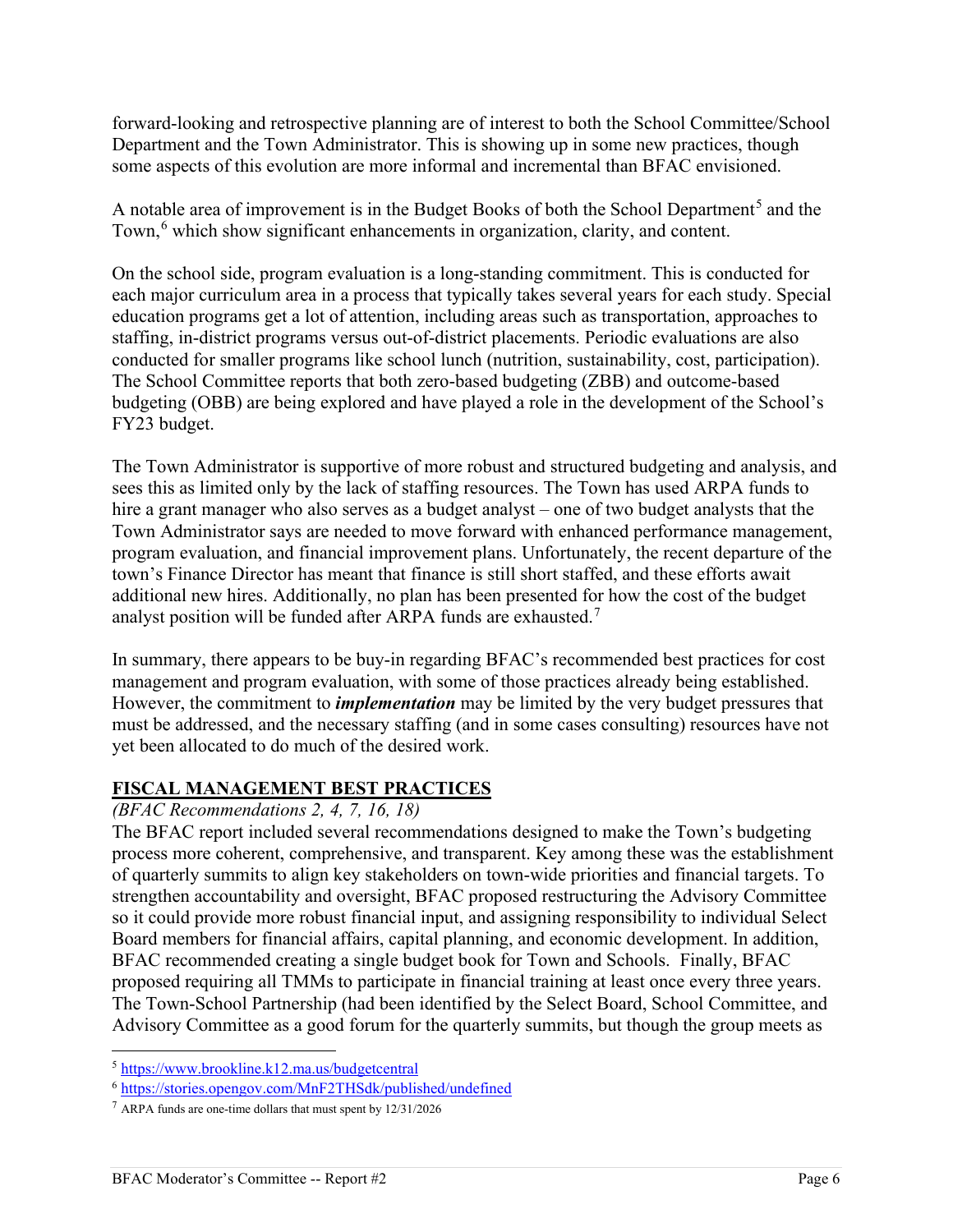forward-looking and retrospective planning are of interest to both the School Committee/School Department and the Town Administrator. This is showing up in some new practices, though some aspects of this evolution are more informal and incremental than BFAC envisioned.

A notable area of improvement is in the Budget Books of both the School Department<sup>[5](#page-5-0)</sup> and the Town,<sup>[6](#page-5-1)</sup> which show significant enhancements in organization, clarity, and content.

On the school side, program evaluation is a long-standing commitment. This is conducted for each major curriculum area in a process that typically takes several years for each study. Special education programs get a lot of attention, including areas such as transportation, approaches to staffing, in-district programs versus out-of-district placements. Periodic evaluations are also conducted for smaller programs like school lunch (nutrition, sustainability, cost, participation). The School Committee reports that both zero-based budgeting (ZBB) and outcome-based budgeting (OBB) are being explored and have played a role in the development of the School's FY23 budget.

The Town Administrator is supportive of more robust and structured budgeting and analysis, and sees this as limited only by the lack of staffing resources. The Town has used ARPA funds to hire a grant manager who also serves as a budget analyst – one of two budget analysts that the Town Administrator says are needed to move forward with enhanced performance management, program evaluation, and financial improvement plans. Unfortunately, the recent departure of the town's Finance Director has meant that finance is still short staffed, and these efforts await additional new hires. Additionally, no plan has been presented for how the cost of the budget analyst position will be funded after ARPA funds are exhausted.[7](#page-5-2)

In summary, there appears to be buy-in regarding BFAC's recommended best practices for cost management and program evaluation, with some of those practices already being established. However, the commitment to *implementation* may be limited by the very budget pressures that must be addressed, and the necessary staffing (and in some cases consulting) resources have not yet been allocated to do much of the desired work.

## **FISCAL MANAGEMENT BEST PRACTICES**

#### *(BFAC Recommendations 2, 4, 7, 16, 18)*

The BFAC report included several recommendations designed to make the Town's budgeting process more coherent, comprehensive, and transparent. Key among these was the establishment of quarterly summits to align key stakeholders on town-wide priorities and financial targets. To strengthen accountability and oversight, BFAC proposed restructuring the Advisory Committee so it could provide more robust financial input, and assigning responsibility to individual Select Board members for financial affairs, capital planning, and economic development. In addition, BFAC recommended creating a single budget book for Town and Schools. Finally, BFAC proposed requiring all TMMs to participate in financial training at least once every three years. The Town-School Partnership (had been identified by the Select Board, School Committee, and Advisory Committee as a good forum for the quarterly summits, but though the group meets as

<span id="page-5-1"></span><span id="page-5-0"></span><sup>&</sup>lt;sup>5</sup> https://www.brookline.k12.ma.us/budgetcentral<br>
<sup>6</sup> https://stories.opengov.com/MnF2THSdk/published/undefined<br>
<sup>7</sup> ARPA funds are one-time dollars that must spent by 12/31/2026

<span id="page-5-2"></span>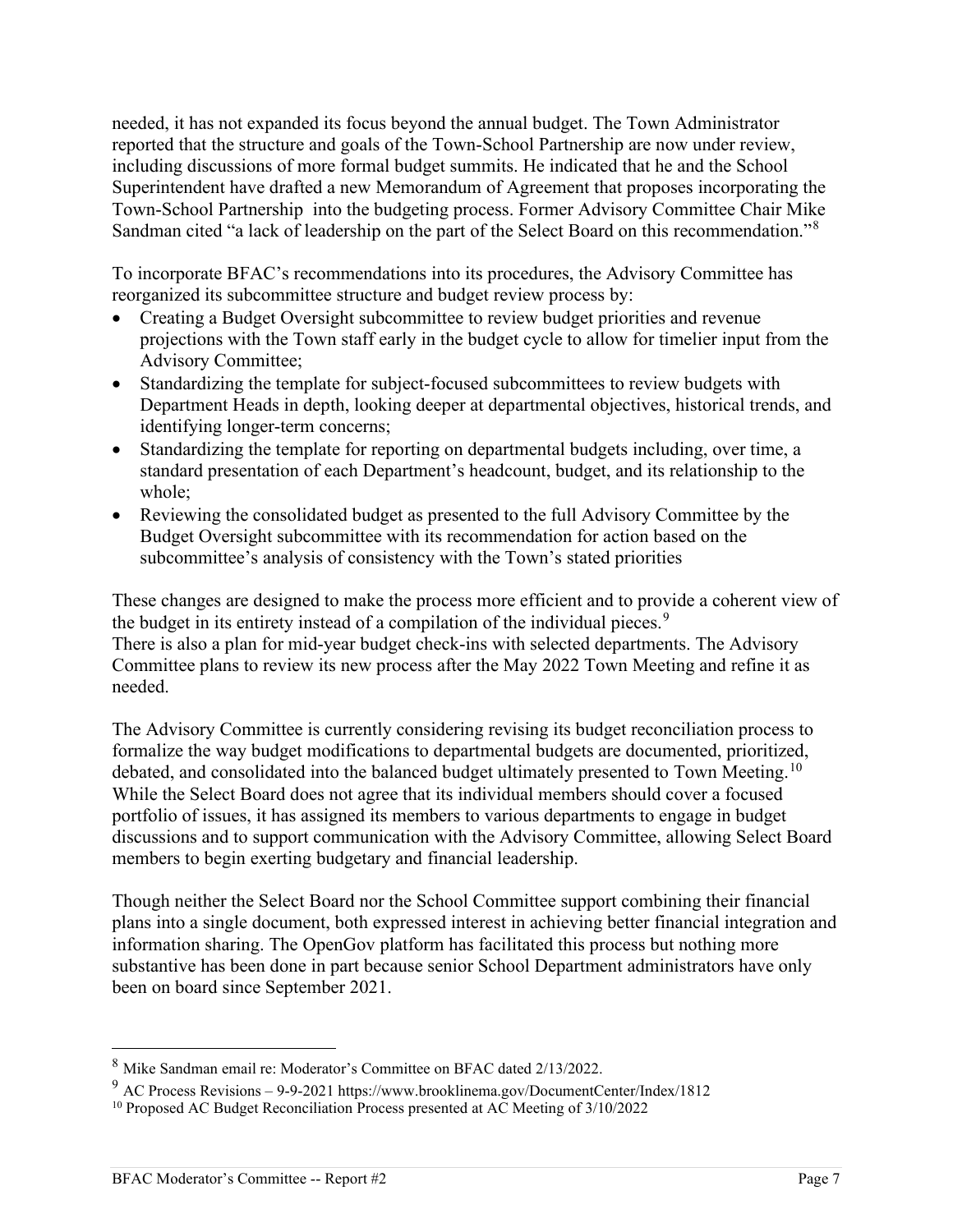needed, it has not expanded its focus beyond the annual budget. The Town Administrator reported that the structure and goals of the Town-School Partnership are now under review, including discussions of more formal budget summits. He indicated that he and the School Superintendent have drafted a new Memorandum of Agreement that proposes incorporating the Town-School Partnership into the budgeting process. Former Advisory Committee Chair Mike Sandman cited "a lack of leadership on the part of the Select Board on this recommendation."<sup>[8](#page-6-0)</sup>

To incorporate BFAC's recommendations into its procedures, the Advisory Committee has reorganized its subcommittee structure and budget review process by:

- Creating a Budget Oversight subcommittee to review budget priorities and revenue projections with the Town staff early in the budget cycle to allow for timelier input from the Advisory Committee;
- Standardizing the template for subject-focused subcommittees to review budgets with Department Heads in depth, looking deeper at departmental objectives, historical trends, and identifying longer-term concerns;
- Standardizing the template for reporting on departmental budgets including, over time, a standard presentation of each Department's headcount, budget, and its relationship to the whole;
- Reviewing the consolidated budget as presented to the full Advisory Committee by the Budget Oversight subcommittee with its recommendation for action based on the subcommittee's analysis of consistency with the Town's stated priorities

These changes are designed to make the process more efficient and to provide a coherent view of the budget in its entirety instead of a compilation of the individual pieces.<sup>[9](#page-6-1)</sup> There is also a plan for mid-year budget check-ins with selected departments. The Advisory Committee plans to review its new process after the May 2022 Town Meeting and refine it as needed.

The Advisory Committee is currently considering revising its budget reconciliation process to formalize the way budget modifications to departmental budgets are documented, prioritized, debated, and consolidated into the balanced budget ultimately presented to Town Meeting.<sup>10</sup> While the Select Board does not agree that its individual members should cover a focused portfolio of issues, it has assigned its members to various departments to engage in budget discussions and to support communication with the Advisory Committee, allowing Select Board members to begin exerting budgetary and financial leadership.

Though neither the Select Board nor the School Committee support combining their financial plans into a single document, both expressed interest in achieving better financial integration and information sharing. The OpenGov platform has facilitated this process but nothing more substantive has been done in part because senior School Department administrators have only been on board since September 2021.

<span id="page-6-0"></span><sup>8</sup> Mike Sandman email re: Moderator's Committee on BFAC dated 2/13/2022.

<span id="page-6-1"></span><sup>9</sup> AC Process Revisions – 9-9-2021 https://www.brooklinema.gov/DocumentCenter/Index/1812

<span id="page-6-2"></span><sup>&</sup>lt;sup>10</sup> Proposed AC Budget Reconciliation Process presented at AC Meeting of 3/10/2022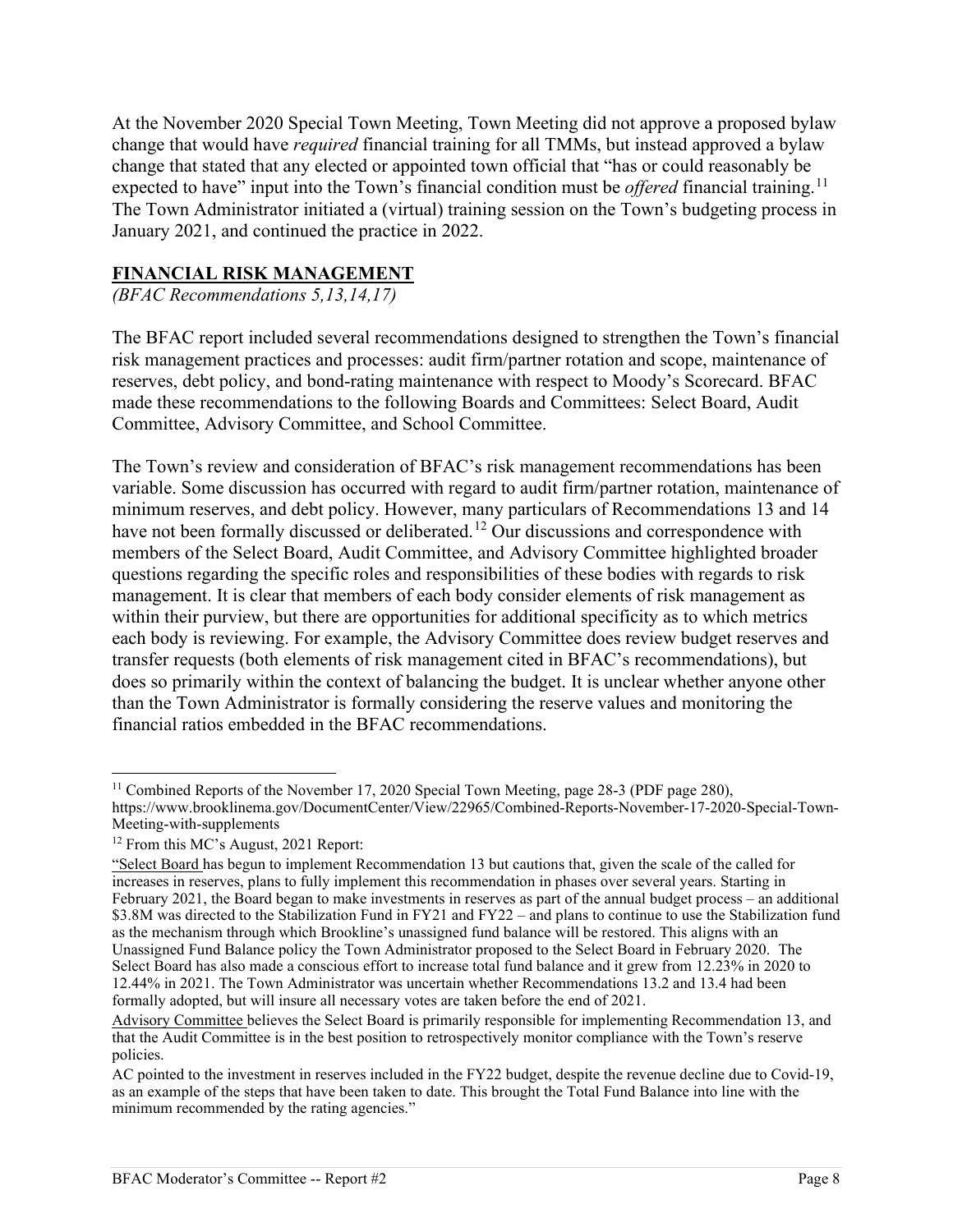At the November 2020 Special Town Meeting, Town Meeting did not approve a proposed bylaw change that would have *required* financial training for all TMMs, but instead approved a bylaw change that stated that any elected or appointed town official that "has or could reasonably be expected to have" input into the Town's financial condition must be *offered* financial training.<sup>[11](#page-7-0)</sup> The Town Administrator initiated a (virtual) training session on the Town's budgeting process in January 2021, and continued the practice in 2022.

### **FINANCIAL RISK MANAGEMENT**

*(BFAC Recommendations 5,13,14,17)* 

The BFAC report included several recommendations designed to strengthen the Town's financial risk management practices and processes: audit firm/partner rotation and scope, maintenance of reserves, debt policy, and bond-rating maintenance with respect to Moody's Scorecard. BFAC made these recommendations to the following Boards and Committees: Select Board, Audit Committee, Advisory Committee, and School Committee.

The Town's review and consideration of BFAC's risk management recommendations has been variable. Some discussion has occurred with regard to audit firm/partner rotation, maintenance of minimum reserves, and debt policy. However, many particulars of Recommendations 13 and 14 have not been formally discussed or deliberated.<sup>[12](#page-7-1)</sup> Our discussions and correspondence with members of the Select Board, Audit Committee, and Advisory Committee highlighted broader questions regarding the specific roles and responsibilities of these bodies with regards to risk management. It is clear that members of each body consider elements of risk management as within their purview, but there are opportunities for additional specificity as to which metrics each body is reviewing. For example, the Advisory Committee does review budget reserves and transfer requests (both elements of risk management cited in BFAC's recommendations), but does so primarily within the context of balancing the budget. It is unclear whether anyone other than the Town Administrator is formally considering the reserve values and monitoring the financial ratios embedded in the BFAC recommendations.

<span id="page-7-0"></span><sup>&</sup>lt;sup>11</sup> Combined Reports of the November 17, 2020 Special Town Meeting, page 28-3 (PDF page 280), https://www.brooklinema.gov/DocumentCenter/View/22965/Combined-Reports-November-17-2020-Special-Town-Meeting-with-supplements<br><sup>12</sup> From this MC's August, 2021 Report:

<span id="page-7-1"></span>

<sup>&</sup>quot;Select Board has begun to implement Recommendation 13 but cautions that, given the scale of the called for increases in reserves, plans to fully implement this recommendation in phases over several years. Starting in February 2021, the Board began to make investments in reserves as part of the annual budget process – an additional \$3.8M was directed to the Stabilization Fund in FY21 and FY22 – and plans to continue to use the Stabilization fund as the mechanism through which Brookline's unassigned fund balance will be restored. This aligns with an Unassigned Fund Balance policy the Town Administrator proposed to the Select Board in February 2020. The Select Board has also made a conscious effort to increase total fund balance and it grew from 12.23% in 2020 to 12.44% in 2021. The Town Administrator was uncertain whether Recommendations 13.2 and 13.4 had been formally adopted, but will insure all necessary votes are taken before the end of 2021.

Advisory Committee believes the Select Board is primarily responsible for implementing Recommendation 13, and that the Audit Committee is in the best position to retrospectively monitor compliance with the Town's reserve policies.

AC pointed to the investment in reserves included in the FY22 budget, despite the revenue decline due to Covid-19, as an example of the steps that have been taken to date. This brought the Total Fund Balance into line with the minimum recommended by the rating agencies."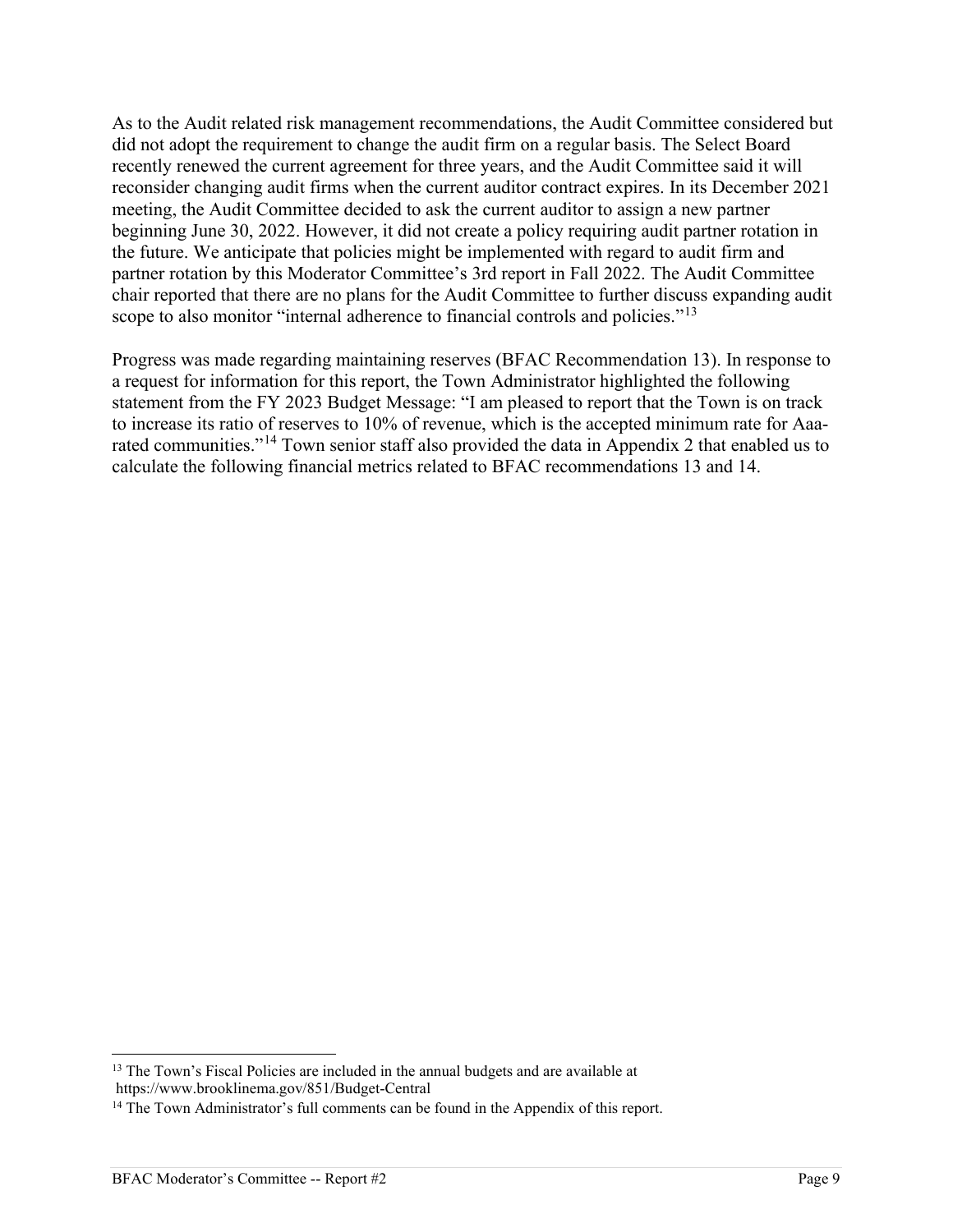As to the Audit related risk management recommendations, the Audit Committee considered but did not adopt the requirement to change the audit firm on a regular basis. The Select Board recently renewed the current agreement for three years, and the Audit Committee said it will reconsider changing audit firms when the current auditor contract expires. In its December 2021 meeting, the Audit Committee decided to ask the current auditor to assign a new partner beginning June 30, 2022. However, it did not create a policy requiring audit partner rotation in the future. We anticipate that policies might be implemented with regard to audit firm and partner rotation by this Moderator Committee's 3rd report in Fall 2022. The Audit Committee chair reported that there are no plans for the Audit Committee to further discuss expanding audit scope to also monitor "internal adherence to financial controls and policies."<sup>[13](#page-8-0)</sup>

Progress was made regarding maintaining reserves (BFAC Recommendation 13). In response to a request for information for this report, the Town Administrator highlighted the following statement from the FY 2023 Budget Message: "I am pleased to report that the Town is on track to increase its ratio of reserves to 10% of revenue, which is the accepted minimum rate for Aaa-rated communities."<sup>[14](#page-8-1)</sup> Town senior staff also provided the data in Appendix 2 that enabled us to calculate the following financial metrics related to BFAC recommendations 13 and 14.

<span id="page-8-0"></span><sup>&</sup>lt;sup>13</sup> The Town's Fiscal Policies are included in the annual budgets and are available at https://www.brooklinema.gov/851/Budget-Central

<span id="page-8-1"></span><sup>&</sup>lt;sup>14</sup> The Town Administrator's full comments can be found in the Appendix of this report.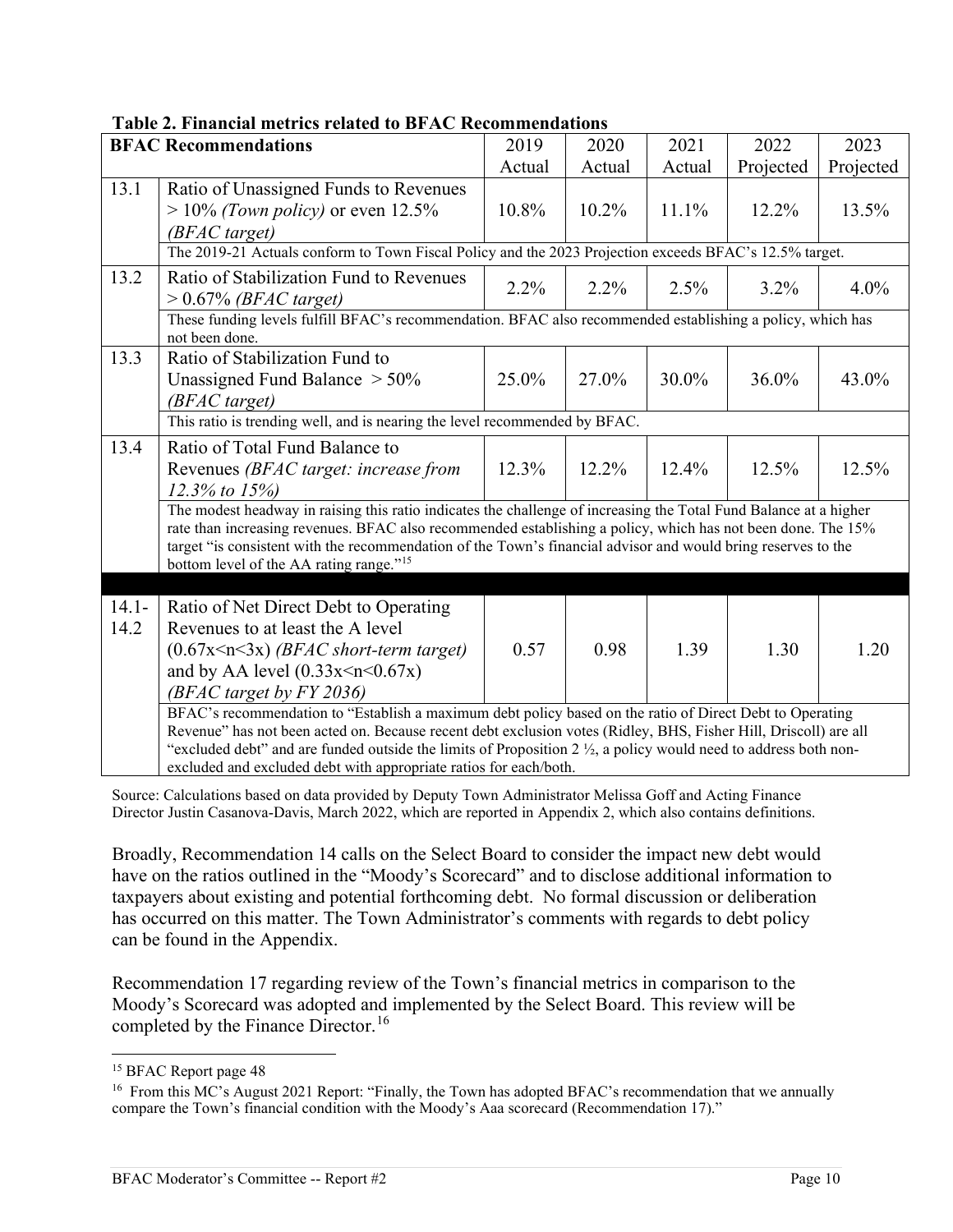|                  | <b>BFAC Recommendations</b>                                                                                                                                                                                                                                                                                                                                                                                                      | 2019   | 2020   | 2021   | 2022      | 2023      |  |
|------------------|----------------------------------------------------------------------------------------------------------------------------------------------------------------------------------------------------------------------------------------------------------------------------------------------------------------------------------------------------------------------------------------------------------------------------------|--------|--------|--------|-----------|-----------|--|
|                  |                                                                                                                                                                                                                                                                                                                                                                                                                                  | Actual | Actual | Actual | Projected | Projected |  |
| 13.1             | Ratio of Unassigned Funds to Revenues<br>$> 10\%$ (Town policy) or even 12.5%<br>(BFAC target)                                                                                                                                                                                                                                                                                                                                   | 10.8%  | 10.2%  | 11.1%  | 12.2%     | 13.5%     |  |
|                  | The 2019-21 Actuals conform to Town Fiscal Policy and the 2023 Projection exceeds BFAC's 12.5% target.                                                                                                                                                                                                                                                                                                                           |        |        |        |           |           |  |
| 13.2             | Ratio of Stabilization Fund to Revenues<br>$> 0.67\%$ (BFAC target)                                                                                                                                                                                                                                                                                                                                                              | 2.2%   | 2.2%   | 2.5%   | $3.2\%$   | $4.0\%$   |  |
|                  | These funding levels fulfill BFAC's recommendation. BFAC also recommended establishing a policy, which has<br>not been done.                                                                                                                                                                                                                                                                                                     |        |        |        |           |           |  |
| 13.3             | Ratio of Stabilization Fund to<br>Unassigned Fund Balance $> 50\%$<br>(BFAC target)                                                                                                                                                                                                                                                                                                                                              | 25.0%  | 27.0%  | 30.0%  | 36.0%     | 43.0%     |  |
|                  | This ratio is trending well, and is nearing the level recommended by BFAC.                                                                                                                                                                                                                                                                                                                                                       |        |        |        |           |           |  |
| 13.4             | Ratio of Total Fund Balance to<br>Revenues (BFAC target: increase from<br>$12.3\%$ to $15\%$                                                                                                                                                                                                                                                                                                                                     | 12.3%  | 12.2%  | 12.4%  | 12.5%     | 12.5%     |  |
|                  | The modest headway in raising this ratio indicates the challenge of increasing the Total Fund Balance at a higher<br>rate than increasing revenues. BFAC also recommended establishing a policy, which has not been done. The 15%<br>target "is consistent with the recommendation of the Town's financial advisor and would bring reserves to the<br>bottom level of the AA rating range." <sup>15</sup>                        |        |        |        |           |           |  |
|                  |                                                                                                                                                                                                                                                                                                                                                                                                                                  |        |        |        |           |           |  |
| $14.1 -$<br>14.2 | Ratio of Net Direct Debt to Operating<br>Revenues to at least the A level<br>$(0.67x \le n \le 3x)$ (BFAC short-term target)<br>and by AA level $(0.33x \le n \le 0.67x)$<br>(BFAC target by FY 2036)                                                                                                                                                                                                                            | 0.57   | 0.98   | 1.39   | 1.30      | 1.20      |  |
|                  | BFAC's recommendation to "Establish a maximum debt policy based on the ratio of Direct Debt to Operating<br>Revenue" has not been acted on. Because recent debt exclusion votes (Ridley, BHS, Fisher Hill, Driscoll) are all<br>"excluded debt" and are funded outside the limits of Proposition 2 $\frac{1}{2}$ , a policy would need to address both non-<br>excluded and excluded debt with appropriate ratios for each/both. |        |        |        |           |           |  |

# **Table 2. Financial metrics related to BFAC Recommendations**

Source: Calculations based on data provided by Deputy Town Administrator Melissa Goff and Acting Finance Director Justin Casanova-Davis, March 2022, which are reported in Appendix 2, which also contains definitions.

Broadly, Recommendation 14 calls on the Select Board to consider the impact new debt would have on the ratios outlined in the "Moody's Scorecard" and to disclose additional information to taxpayers about existing and potential forthcoming debt. No formal discussion or deliberation has occurred on this matter. The Town Administrator's comments with regards to debt policy can be found in the Appendix.

Recommendation 17 regarding review of the Town's financial metrics in comparison to the Moody's Scorecard was adopted and implemented by the Select Board. This review will be completed by the Finance Director.<sup>[16](#page-9-1)</sup>

<span id="page-9-0"></span><sup>&</sup>lt;sup>15</sup> BFAC Report page 48

<span id="page-9-1"></span><sup>&</sup>lt;sup>16</sup> From this MC's August 2021 Report: "Finally, the Town has adopted BFAC's recommendation that we annually compare the Town's financial condition with the Moody's Aaa scorecard (Recommendation 17)."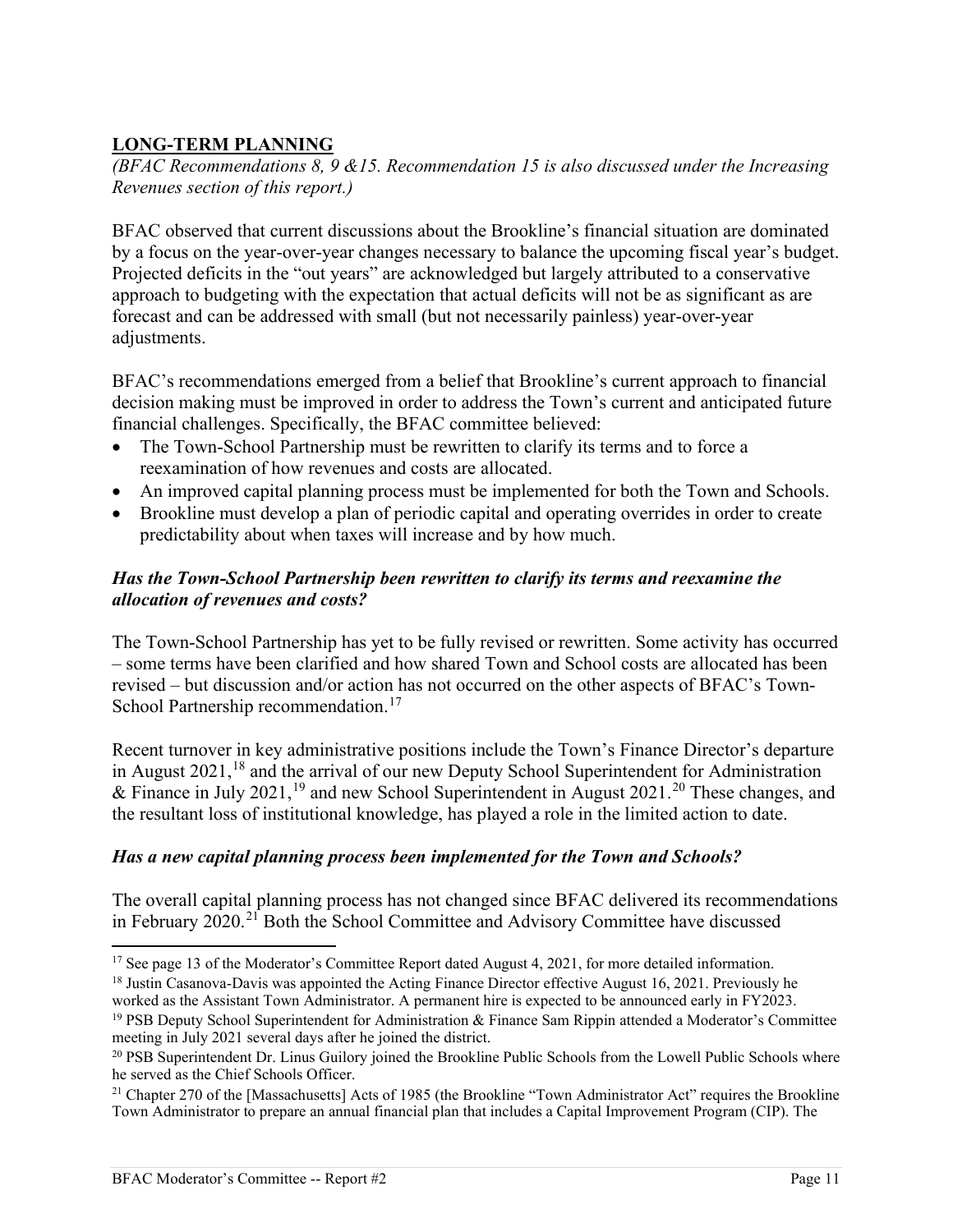# **LONG-TERM PLANNING**

*(BFAC Recommendations 8, 9 &15. Recommendation 15 is also discussed under the Increasing Revenues section of this report.)* 

BFAC observed that current discussions about the Brookline's financial situation are dominated by a focus on the year-over-year changes necessary to balance the upcoming fiscal year's budget. Projected deficits in the "out years" are acknowledged but largely attributed to a conservative approach to budgeting with the expectation that actual deficits will not be as significant as are forecast and can be addressed with small (but not necessarily painless) year-over-year adjustments.

BFAC's recommendations emerged from a belief that Brookline's current approach to financial decision making must be improved in order to address the Town's current and anticipated future financial challenges. Specifically, the BFAC committee believed:

- The Town-School Partnership must be rewritten to clarify its terms and to force a reexamination of how revenues and costs are allocated.
- An improved capital planning process must be implemented for both the Town and Schools.
- Brookline must develop a plan of periodic capital and operating overrides in order to create predictability about when taxes will increase and by how much.

### *Has the Town-School Partnership been rewritten to clarify its terms and reexamine the allocation of revenues and costs?*

The Town-School Partnership has yet to be fully revised or rewritten. Some activity has occurred – some terms have been clarified and how shared Town and School costs are allocated has been revised – but discussion and/or action has not occurred on the other aspects of BFAC's Town-School Partnership recommendation.<sup>[17](#page-10-0)</sup>

Recent turnover in key administrative positions include the Town's Finance Director's departure in August 2021,<sup>18</sup> and the arrival of our new Deputy School Superintendent for Administration & Finance in July 2021,<sup>[19](#page-10-2)</sup> and new School Superintendent in August [20](#page-10-3)21.<sup>20</sup> These changes, and the resultant loss of institutional knowledge, has played a role in the limited action to date.

## *Has a new capital planning process been implemented for the Town and Schools?*

The overall capital planning process has not changed since BFAC delivered its recommendations in February 2020.[21](#page-10-4) Both the School Committee and Advisory Committee have discussed

<span id="page-10-1"></span>worked as the Assistant Town Administrator. A permanent hire is expected to be announced early in FY2023.

<span id="page-10-0"></span><sup>&</sup>lt;sup>17</sup> See page 13 of the Moderator's Committee Report dated August 4, 2021, for more detailed information. <sup>18</sup> Justin Casanova-Davis was appointed the Acting Finance Director effective August 16, 2021. Previously he

<span id="page-10-2"></span><sup>19</sup> PSB Deputy School Superintendent for Administration & Finance Sam Rippin attended a Moderator's Committee meeting in July 2021 several days after he joined the district.

<span id="page-10-3"></span><sup>&</sup>lt;sup>20</sup> PSB Superintendent Dr. Linus Guilory joined the Brookline Public Schools from the Lowell Public Schools where he served as the Chief Schools Officer.

<span id="page-10-4"></span><sup>&</sup>lt;sup>21</sup> Chapter 270 of the [Massachusetts] Acts of 1985 (the Brookline "Town Administrator Act" requires the Brookline Town Administrator to prepare an annual financial plan that includes a Capital Improvement Program (CIP). The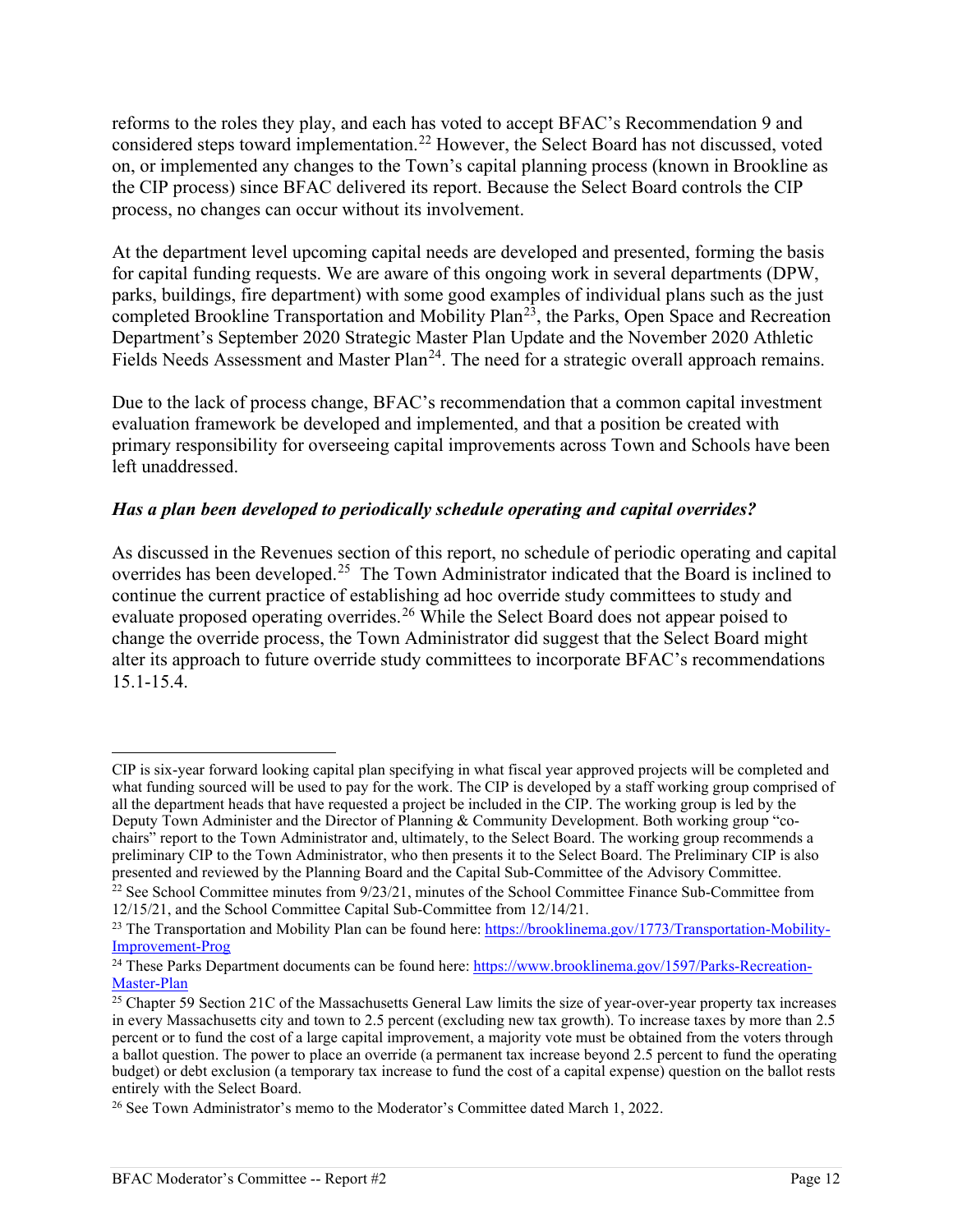reforms to the roles they play, and each has voted to accept BFAC's Recommendation 9 and considered steps toward implementation.<sup>[22](#page-11-0)</sup> However, the Select Board has not discussed, voted on, or implemented any changes to the Town's capital planning process (known in Brookline as the CIP process) since BFAC delivered its report. Because the Select Board controls the CIP process, no changes can occur without its involvement.

At the department level upcoming capital needs are developed and presented, forming the basis for capital funding requests. We are aware of this ongoing work in several departments (DPW, parks, buildings, fire department) with some good examples of individual plans such as the just completed Brookline Transportation and Mobility Plan<sup>23</sup>, the Parks, Open Space and Recreation Department's September 2020 Strategic Master Plan Update and the November 2020 Athletic Fields Needs Assessment and Master Plan<sup>24</sup>. The need for a strategic overall approach remains.

Due to the lack of process change, BFAC's recommendation that a common capital investment evaluation framework be developed and implemented, and that a position be created with primary responsibility for overseeing capital improvements across Town and Schools have been left unaddressed.

### *Has a plan been developed to periodically schedule operating and capital overrides?*

As discussed in the Revenues section of this report, no schedule of periodic operating and capital overrides has been developed.<sup>[25](#page-11-3)</sup> The Town Administrator indicated that the Board is inclined to continue the current practice of establishing ad hoc override study committees to study and evaluate proposed operating overrides.<sup>[26](#page-11-4)</sup> While the Select Board does not appear poised to change the override process, the Town Administrator did suggest that the Select Board might alter its approach to future override study committees to incorporate BFAC's recommendations 15.1-15.4.

CIP is six-year forward looking capital plan specifying in what fiscal year approved projects will be completed and what funding sourced will be used to pay for the work. The CIP is developed by a staff working group comprised of all the department heads that have requested a project be included in the CIP. The working group is led by the Deputy Town Administer and the Director of Planning & Community Development. Both working group "cochairs" report to the Town Administrator and, ultimately, to the Select Board. The working group recommends a preliminary CIP to the Town Administrator, who then presents it to the Select Board. The Preliminary CIP is also<br>presented and reviewed by the Planning Board and the Capital Sub-Committee of the Advisory Committee.

<span id="page-11-0"></span><sup>&</sup>lt;sup>22</sup> See School Committee minutes from  $9/23/21$ , minutes of the School Committee Finance Sub-Committee from 12/15/21, and the School Committee Capital Sub-Committee from 12/14/21.

<span id="page-11-1"></span><sup>&</sup>lt;sup>23</sup> The Transportation and Mobility Plan can be found here:  $\frac{https://brooklinema.gov/1773/Transportation-Mobility-Improvement-Prog}$ 

<span id="page-11-2"></span><sup>&</sup>lt;sup>24</sup> These Parks Department documents can be found here:  $\frac{https://www.brooklinema.gov/1597/Parks-Recreation-Master-Plan}$ 

<span id="page-11-3"></span><sup>&</sup>lt;sup>25</sup> Chapter 59 Section 21C of the Massachusetts General Law limits the size of year-over-year property tax increases in every Massachusetts city and town to 2.5 percent (excluding new tax growth). To increase taxes by more than 2.5 percent or to fund the cost of a large capital improvement, a majority vote must be obtained from the voters through a ballot question. The power to place an override (a permanent tax increase beyond 2.5 percent to fund the operating budget) or debt exclusion (a temporary tax increase to fund the cost of a capital expense) question on the ballot rests entirely with the Select Board.

<span id="page-11-4"></span><sup>&</sup>lt;sup>26</sup> See Town Administrator's memo to the Moderator's Committee dated March 1, 2022.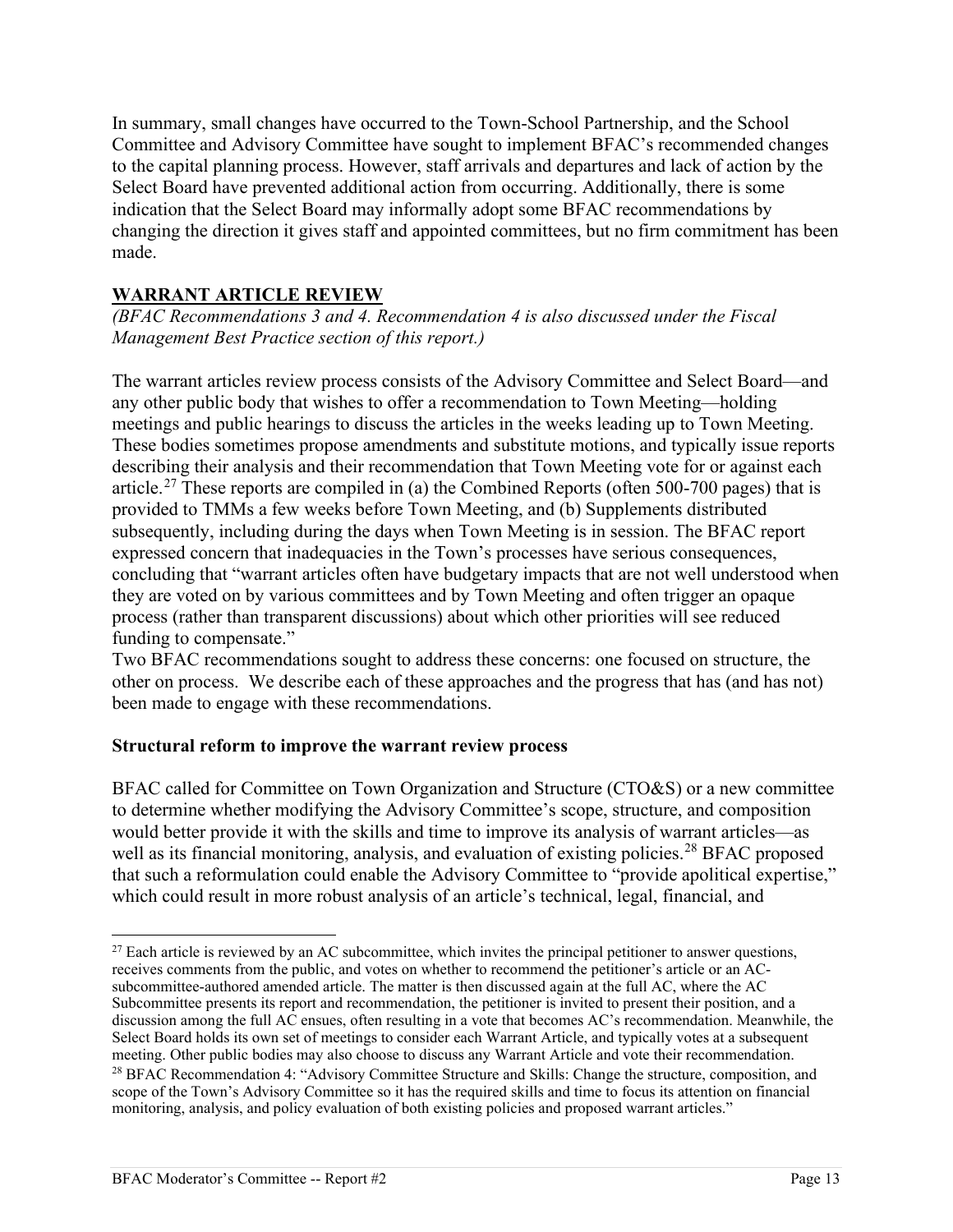In summary, small changes have occurred to the Town-School Partnership, and the School Committee and Advisory Committee have sought to implement BFAC's recommended changes to the capital planning process. However, staff arrivals and departures and lack of action by the Select Board have prevented additional action from occurring. Additionally, there is some indication that the Select Board may informally adopt some BFAC recommendations by changing the direction it gives staff and appointed committees, but no firm commitment has been made.

## **WARRANT ARTICLE REVIEW**

*(BFAC Recommendations 3 and 4. Recommendation 4 is also discussed under the Fiscal Management Best Practice section of this report.)* 

The warrant articles review process consists of the Advisory Committee and Select Board—and any other public body that wishes to offer a recommendation to Town Meeting—holding meetings and public hearings to discuss the articles in the weeks leading up to Town Meeting. These bodies sometimes propose amendments and substitute motions, and typically issue reports describing their analysis and their recommendation that Town Meeting vote for or against each article.<sup>27</sup> These reports are compiled in (a) the Combined Reports (often 500-700 pages) that is provided to TMMs a few weeks before Town Meeting, and (b) Supplements distributed subsequently, including during the days when Town Meeting is in session. The BFAC report expressed concern that inadequacies in the Town's processes have serious consequences, concluding that "warrant articles often have budgetary impacts that are not well understood when they are voted on by various committees and by Town Meeting and often trigger an opaque process (rather than transparent discussions) about which other priorities will see reduced funding to compensate."

Two BFAC recommendations sought to address these concerns: one focused on structure, the other on process. We describe each of these approaches and the progress that has (and has not) been made to engage with these recommendations.

## **Structural reform to improve the warrant review process**

BFAC called for Committee on Town Organization and Structure (CTO&S) or a new committee to determine whether modifying the Advisory Committee's scope, structure, and composition would better provide it with the skills and time to improve its analysis of warrant articles—as well as its financial monitoring, analysis, and evaluation of existing policies.<sup>[28](#page-12-1)</sup> BFAC proposed that such a reformulation could enable the Advisory Committee to "provide apolitical expertise," which could result in more robust analysis of an article's technical, legal, financial, and

<span id="page-12-1"></span><span id="page-12-0"></span><sup>&</sup>lt;sup>27</sup> Each article is reviewed by an AC subcommittee, which invites the principal petitioner to answer questions, receives comments from the public, and votes on whether to recommend the petitioner's article or an ACsubcommittee-authored amended article. The matter is then discussed again at the full AC, where the AC Subcommittee presents its report and recommendation, the petitioner is invited to present their position, and a discussion among the full AC ensues, often resulting in a vote that becomes AC's recommendation. Meanwhile, the Select Board holds its own set of meetings to consider each Warrant Article, and typically votes at a subsequent meeting. Other public bodies may also choose to discuss any Warrant Article and vote their recommendation.  $^{28}$  BFAC Recommendation 4: "Advisory Committee Structure and Skills: Change the structure, composition, and scope of the Town's Advisory Committee so it has the required skills and time to focus its attention on financial monitoring, analysis, and policy evaluation of both existing policies and proposed warrant articles."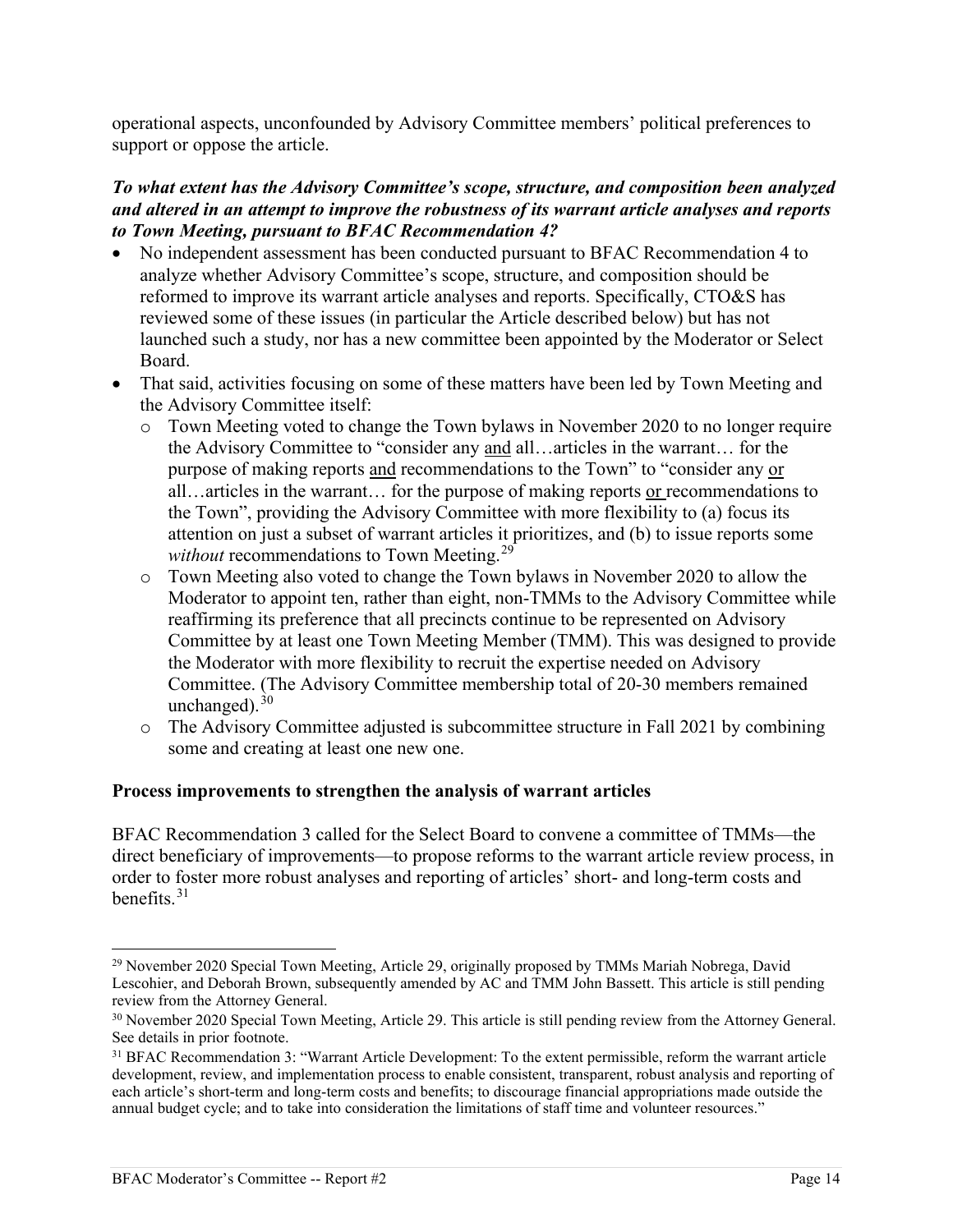operational aspects, unconfounded by Advisory Committee members' political preferences to support or oppose the article.

#### *To what extent has the Advisory Committee's scope, structure, and composition been analyzed and altered in an attempt to improve the robustness of its warrant article analyses and reports to Town Meeting, pursuant to BFAC Recommendation 4?*

- No independent assessment has been conducted pursuant to BFAC Recommendation 4 to analyze whether Advisory Committee's scope, structure, and composition should be reformed to improve its warrant article analyses and reports. Specifically, CTO&S has reviewed some of these issues (in particular the Article described below) but has not launched such a study, nor has a new committee been appointed by the Moderator or Select Board.
- That said, activities focusing on some of these matters have been led by Town Meeting and the Advisory Committee itself:
	- o Town Meeting voted to change the Town bylaws in November 2020 to no longer require the Advisory Committee to "consider any and all…articles in the warrant… for the purpose of making reports and recommendations to the Town" to "consider any or all…articles in the warrant… for the purpose of making reports or recommendations to the Town", providing the Advisory Committee with more flexibility to (a) focus its attention on just a subset of warrant articles it prioritizes, and (b) to issue reports some *without* recommendations to Town Meeting.[29](#page-13-0)
	- o Town Meeting also voted to change the Town bylaws in November 2020 to allow the Moderator to appoint ten, rather than eight, non-TMMs to the Advisory Committee while reaffirming its preference that all precincts continue to be represented on Advisory Committee by at least one Town Meeting Member (TMM). This was designed to provide the Moderator with more flexibility to recruit the expertise needed on Advisory Committee. (The Advisory Committee membership total of 20-30 members remained unchanged). $30$
	- o The Advisory Committee adjusted is subcommittee structure in Fall 2021 by combining some and creating at least one new one.

#### **Process improvements to strengthen the analysis of warrant articles**

BFAC Recommendation 3 called for the Select Board to convene a committee of TMMs—the direct beneficiary of improvements—to propose reforms to the warrant article review process, in order to foster more robust analyses and reporting of articles' short- and long-term costs and benefits. $31$ 

<span id="page-13-0"></span><sup>&</sup>lt;sup>29</sup> November 2020 Special Town Meeting, Article 29, originally proposed by TMMs Mariah Nobrega, David Lescohier, and Deborah Brown, subsequently amended by AC and TMM John Bassett. This article is still pending review from the Attorney General.

<span id="page-13-1"></span><sup>&</sup>lt;sup>30</sup> November 2020 Special Town Meeting, Article 29. This article is still pending review from the Attorney General. See details in prior footnote.

<span id="page-13-2"></span><sup>&</sup>lt;sup>31</sup> BFAC Recommendation 3: "Warrant Article Development: To the extent permissible, reform the warrant article development, review, and implementation process to enable consistent, transparent, robust analysis and reporting of each article's short-term and long-term costs and benefits; to discourage financial appropriations made outside the annual budget cycle; and to take into consideration the limitations of staff time and volunteer resources."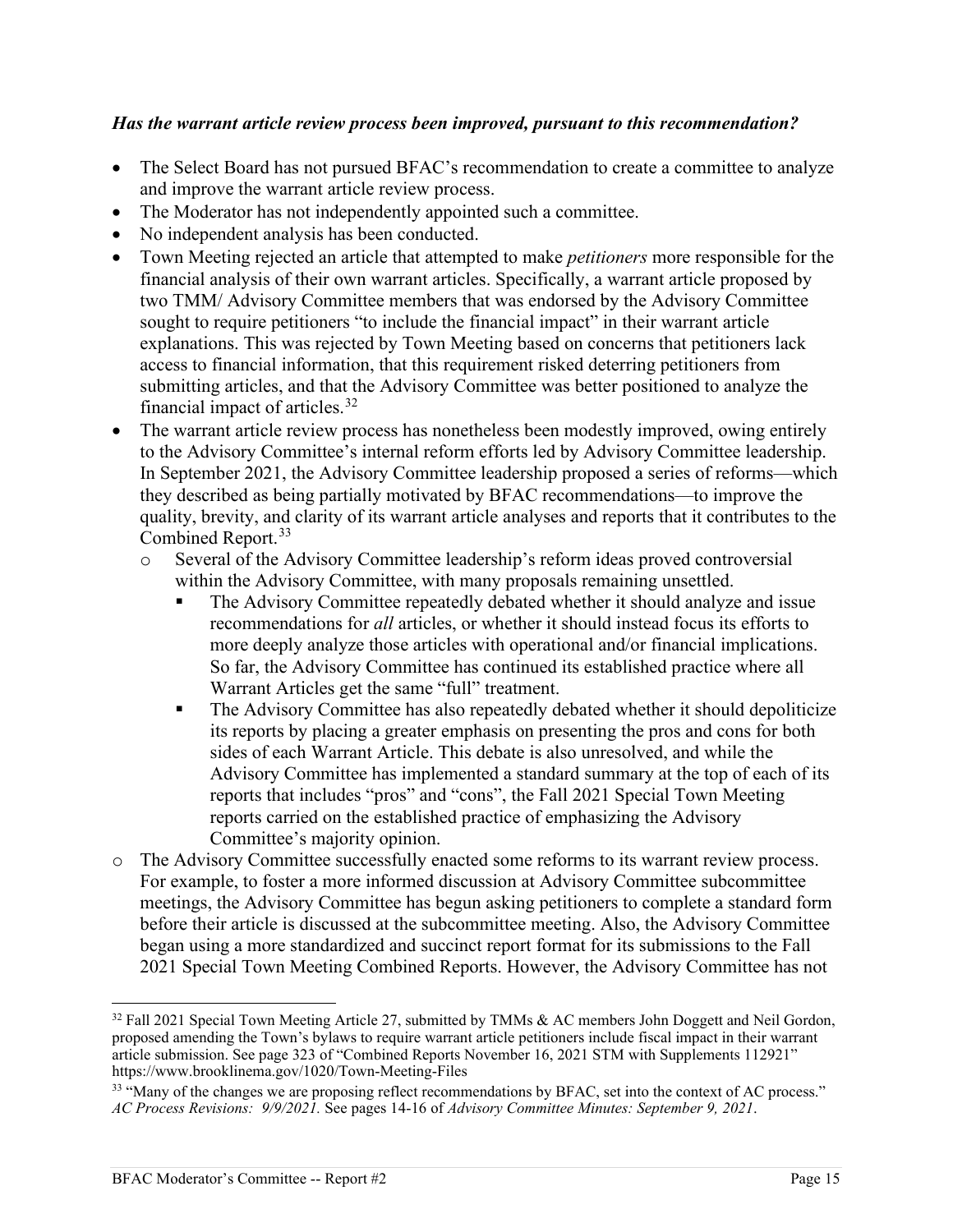#### *Has the warrant article review process been improved, pursuant to this recommendation?*

- The Select Board has not pursued BFAC's recommendation to create a committee to analyze and improve the warrant article review process.
- The Moderator has not independently appointed such a committee.
- No independent analysis has been conducted.
- Town Meeting rejected an article that attempted to make *petitioners* more responsible for the financial analysis of their own warrant articles. Specifically, a warrant article proposed by two TMM/ Advisory Committee members that was endorsed by the Advisory Committee sought to require petitioners "to include the financial impact" in their warrant article explanations. This was rejected by Town Meeting based on concerns that petitioners lack access to financial information, that this requirement risked deterring petitioners from submitting articles, and that the Advisory Committee was better positioned to analyze the financial impact of articles. $32$
- The warrant article review process has nonetheless been modestly improved, owing entirely to the Advisory Committee's internal reform efforts led by Advisory Committee leadership. In September 2021, the Advisory Committee leadership proposed a series of reforms—which they described as being partially motivated by BFAC recommendations—to improve the quality, brevity, and clarity of its warrant article analyses and reports that it contributes to the Combined Report.<sup>[33](#page-14-1)</sup>
	- o Several of the Advisory Committee leadership's reform ideas proved controversial within the Advisory Committee, with many proposals remaining unsettled.
		- The Advisory Committee repeatedly debated whether it should analyze and issue recommendations for *all* articles, or whether it should instead focus its efforts to more deeply analyze those articles with operational and/or financial implications. So far, the Advisory Committee has continued its established practice where all Warrant Articles get the same "full" treatment.
		- The Advisory Committee has also repeatedly debated whether it should depoliticize its reports by placing a greater emphasis on presenting the pros and cons for both sides of each Warrant Article. This debate is also unresolved, and while the Advisory Committee has implemented a standard summary at the top of each of its reports that includes "pros" and "cons", the Fall 2021 Special Town Meeting reports carried on the established practice of emphasizing the Advisory Committee's majority opinion.
- o The Advisory Committee successfully enacted some reforms to its warrant review process. For example, to foster a more informed discussion at Advisory Committee subcommittee meetings, the Advisory Committee has begun asking petitioners to complete a standard form before their article is discussed at the subcommittee meeting. Also, the Advisory Committee began using a more standardized and succinct report format for its submissions to the Fall 2021 Special Town Meeting Combined Reports. However, the Advisory Committee has not

<span id="page-14-0"></span><sup>&</sup>lt;sup>32</sup> Fall 2021 Special Town Meeting Article 27, submitted by TMMs & AC members John Doggett and Neil Gordon, proposed amending the Town's bylaws to require warrant article petitioners include fiscal impact in their warrant article submission. See page 323 of "Combined Reports November 16, 2021 STM with Supplements 112921" https://www.brooklinema.gov/1020/Town-Meeting-Files

<span id="page-14-1"></span><sup>&</sup>lt;sup>33</sup> "Many of the changes we are proposing reflect recommendations by BFAC, set into the context of AC process." *AC Process Revisions: 9/9/2021.* See pages 14-16 of *Advisory Committee Minutes: September 9, 2021*.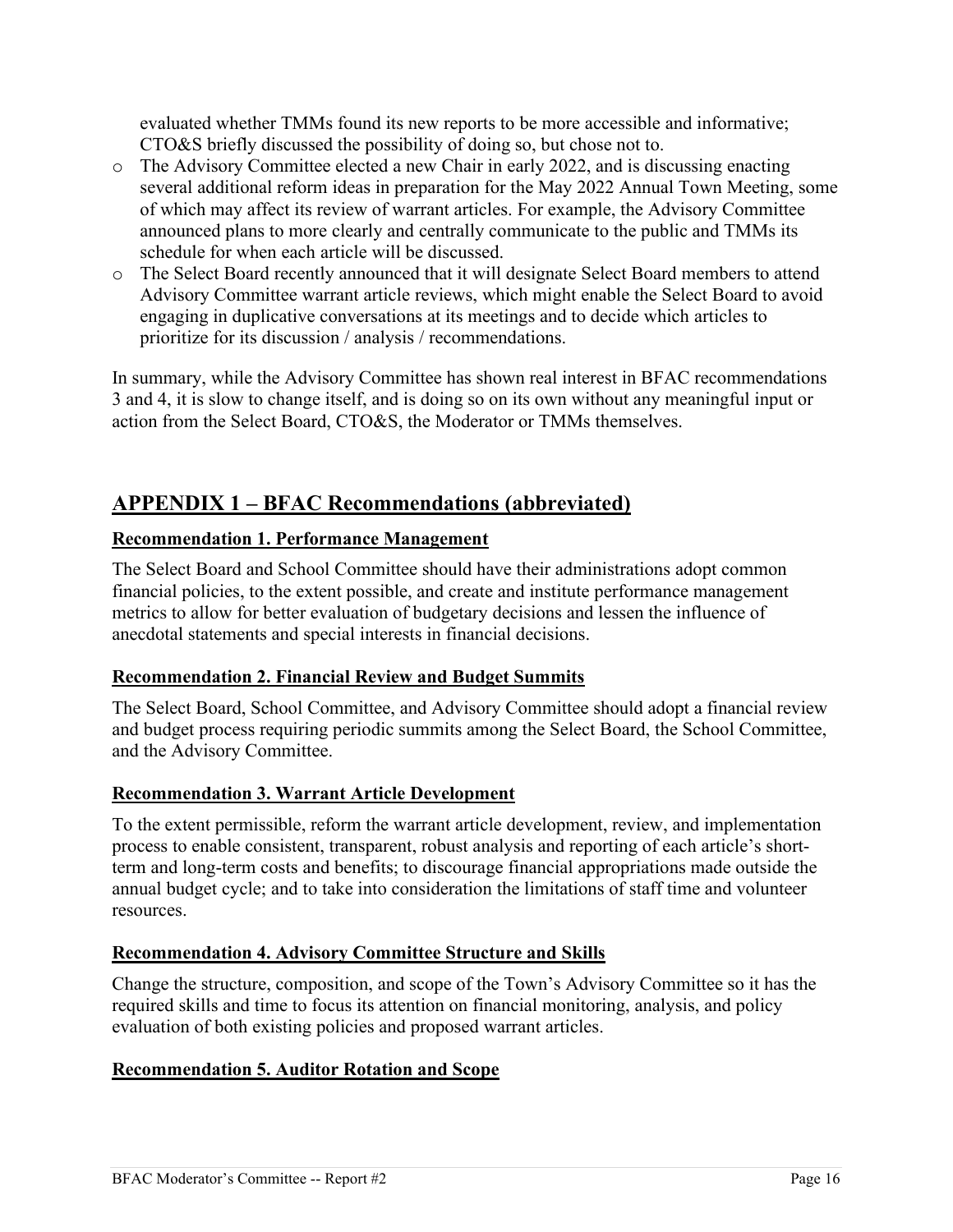evaluated whether TMMs found its new reports to be more accessible and informative; CTO&S briefly discussed the possibility of doing so, but chose not to.

- o The Advisory Committee elected a new Chair in early 2022, and is discussing enacting several additional reform ideas in preparation for the May 2022 Annual Town Meeting, some of which may affect its review of warrant articles. For example, the Advisory Committee announced plans to more clearly and centrally communicate to the public and TMMs its schedule for when each article will be discussed.
- o The Select Board recently announced that it will designate Select Board members to attend Advisory Committee warrant article reviews, which might enable the Select Board to avoid engaging in duplicative conversations at its meetings and to decide which articles to prioritize for its discussion / analysis / recommendations.

In summary, while the Advisory Committee has shown real interest in BFAC recommendations 3 and 4, it is slow to change itself, and is doing so on its own without any meaningful input or action from the Select Board, CTO&S, the Moderator or TMMs themselves.

# **APPENDIX 1 – BFAC Recommendations (abbreviated)**

### **Recommendation 1. Performance Management**

The Select Board and School Committee should have their administrations adopt common financial policies, to the extent possible, and create and institute performance management metrics to allow for better evaluation of budgetary decisions and lessen the influence of anecdotal statements and special interests in financial decisions.

#### **Recommendation 2. Financial Review and Budget Summits**

The Select Board, School Committee, and Advisory Committee should adopt a financial review and budget process requiring periodic summits among the Select Board, the School Committee, and the Advisory Committee.

## **Recommendation 3. Warrant Article Development**

To the extent permissible, reform the warrant article development, review, and implementation process to enable consistent, transparent, robust analysis and reporting of each article's shortterm and long-term costs and benefits; to discourage financial appropriations made outside the annual budget cycle; and to take into consideration the limitations of staff time and volunteer resources.

## **Recommendation 4. Advisory Committee Structure and Skills**

Change the structure, composition, and scope of the Town's Advisory Committee so it has the required skills and time to focus its attention on financial monitoring, analysis, and policy evaluation of both existing policies and proposed warrant articles.

## **Recommendation 5. Auditor Rotation and Scope**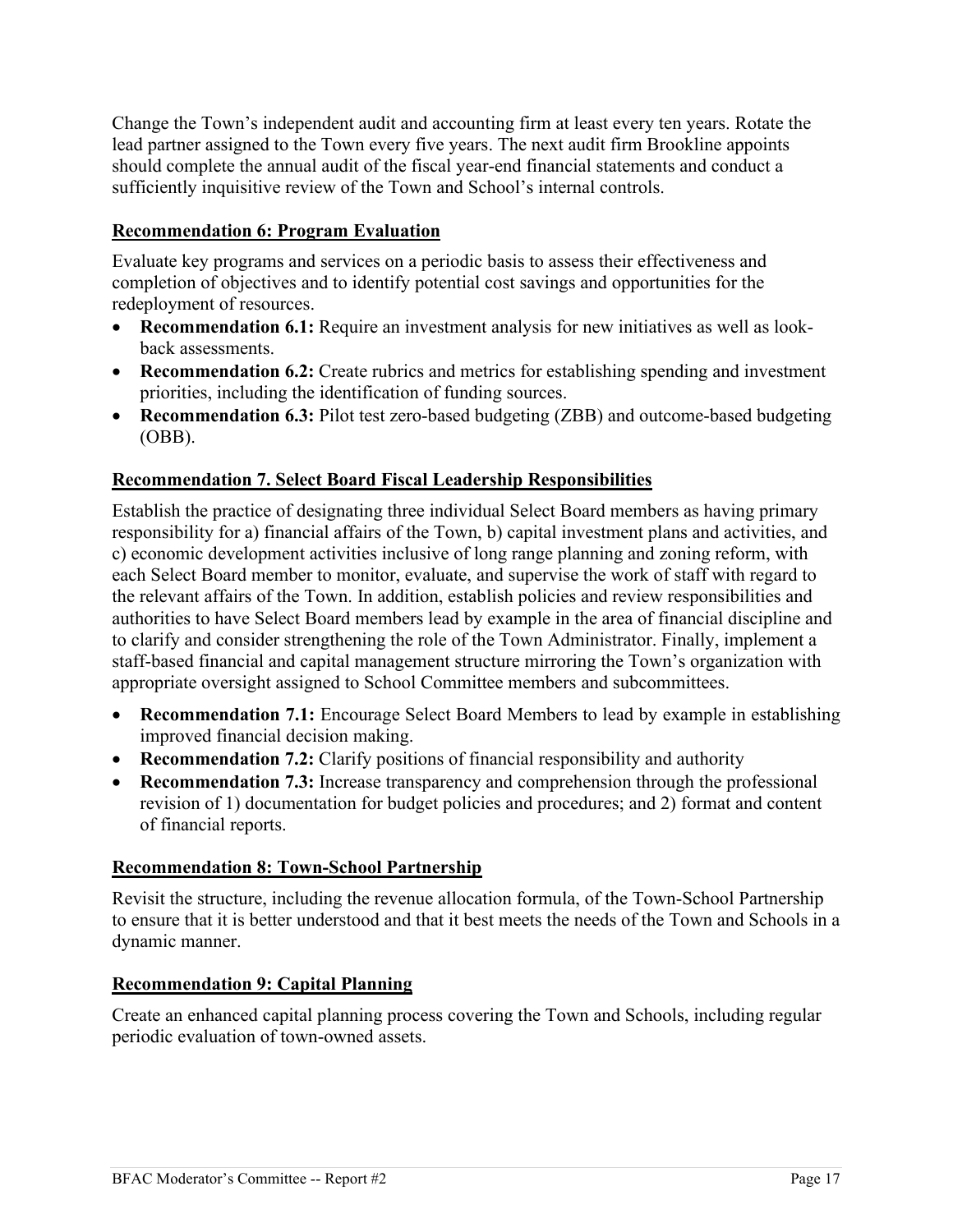Change the Town's independent audit and accounting firm at least every ten years. Rotate the lead partner assigned to the Town every five years. The next audit firm Brookline appoints should complete the annual audit of the fiscal year-end financial statements and conduct a sufficiently inquisitive review of the Town and School's internal controls.

### **Recommendation 6: Program Evaluation**

Evaluate key programs and services on a periodic basis to assess their effectiveness and completion of objectives and to identify potential cost savings and opportunities for the redeployment of resources.

- **Recommendation 6.1:** Require an investment analysis for new initiatives as well as lookback assessments.
- **Recommendation 6.2:** Create rubrics and metrics for establishing spending and investment priorities, including the identification of funding sources.
- **Recommendation 6.3:** Pilot test zero-based budgeting (ZBB) and outcome-based budgeting (OBB).

### **Recommendation 7. Select Board Fiscal Leadership Responsibilities**

Establish the practice of designating three individual Select Board members as having primary responsibility for a) financial affairs of the Town, b) capital investment plans and activities, and c) economic development activities inclusive of long range planning and zoning reform, with each Select Board member to monitor, evaluate, and supervise the work of staff with regard to the relevant affairs of the Town. In addition, establish policies and review responsibilities and authorities to have Select Board members lead by example in the area of financial discipline and to clarify and consider strengthening the role of the Town Administrator. Finally, implement a staff-based financial and capital management structure mirroring the Town's organization with appropriate oversight assigned to School Committee members and subcommittees.

- **Recommendation 7.1:** Encourage Select Board Members to lead by example in establishing improved financial decision making.
- **Recommendation 7.2:** Clarify positions of financial responsibility and authority
- **Recommendation 7.3:** Increase transparency and comprehension through the professional revision of 1) documentation for budget policies and procedures; and 2) format and content of financial reports.

#### **Recommendation 8: Town-School Partnership**

Revisit the structure, including the revenue allocation formula, of the Town-School Partnership to ensure that it is better understood and that it best meets the needs of the Town and Schools in a dynamic manner.

#### **Recommendation 9: Capital Planning**

Create an enhanced capital planning process covering the Town and Schools, including regular periodic evaluation of town-owned assets.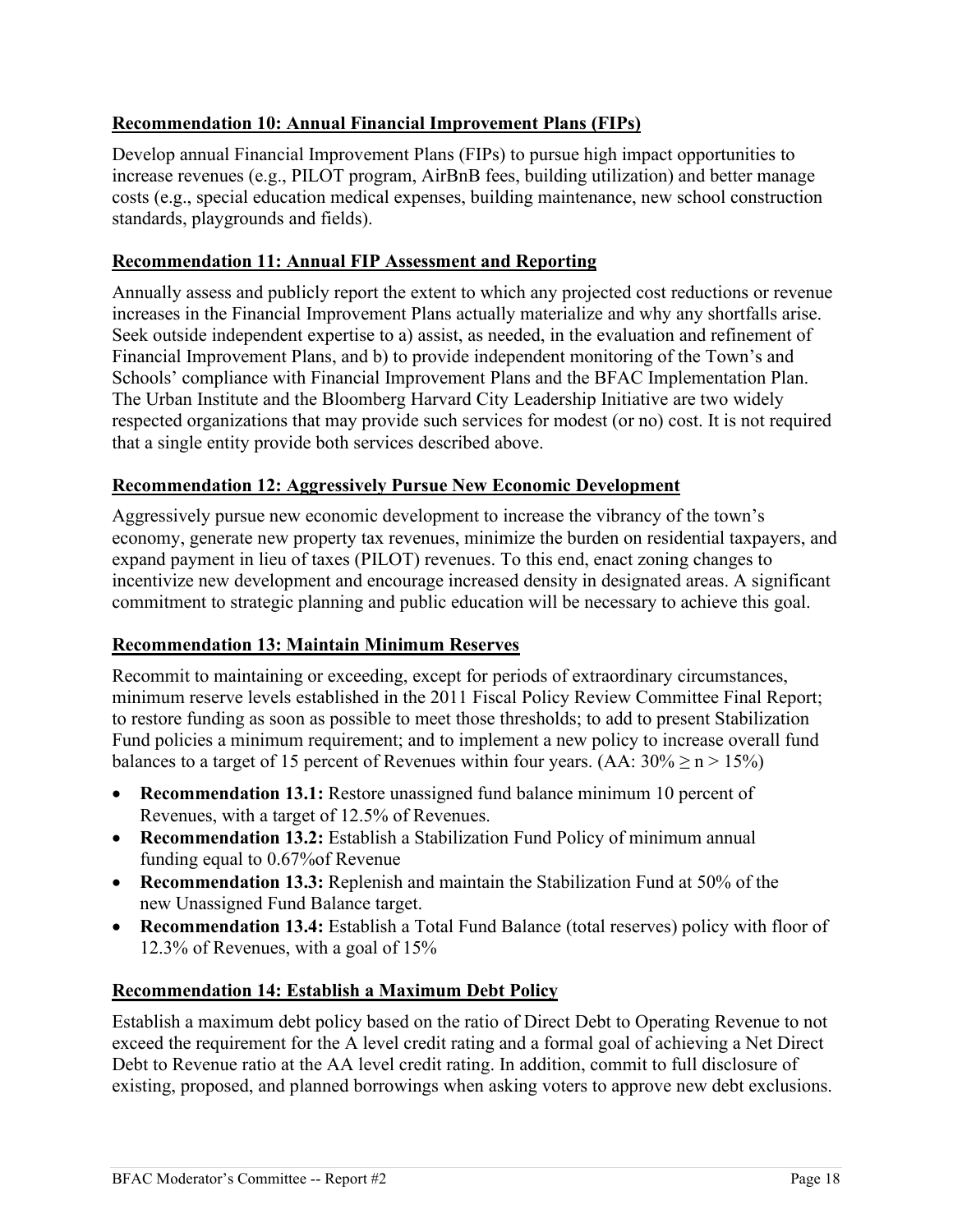## **Recommendation 10: Annual Financial Improvement Plans (FIPs)**

Develop annual Financial Improvement Plans (FIPs) to pursue high impact opportunities to increase revenues (e.g., PILOT program, AirBnB fees, building utilization) and better manage costs (e.g., special education medical expenses, building maintenance, new school construction standards, playgrounds and fields).

# **Recommendation 11: Annual FIP Assessment and Reporting**

Annually assess and publicly report the extent to which any projected cost reductions or revenue increases in the Financial Improvement Plans actually materialize and why any shortfalls arise. Seek outside independent expertise to a) assist, as needed, in the evaluation and refinement of Financial Improvement Plans, and b) to provide independent monitoring of the Town's and Schools' compliance with Financial Improvement Plans and the BFAC Implementation Plan. The Urban Institute and the Bloomberg Harvard City Leadership Initiative are two widely respected organizations that may provide such services for modest (or no) cost. It is not required that a single entity provide both services described above.

## **Recommendation 12: Aggressively Pursue New Economic Development**

Aggressively pursue new economic development to increase the vibrancy of the town's economy, generate new property tax revenues, minimize the burden on residential taxpayers, and expand payment in lieu of taxes (PILOT) revenues. To this end, enact zoning changes to incentivize new development and encourage increased density in designated areas. A significant commitment to strategic planning and public education will be necessary to achieve this goal.

# **Recommendation 13: Maintain Minimum Reserves**

Recommit to maintaining or exceeding, except for periods of extraordinary circumstances, minimum reserve levels established in the 2011 Fiscal Policy Review Committee Final Report; to restore funding as soon as possible to meet those thresholds; to add to present Stabilization Fund policies a minimum requirement; and to implement a new policy to increase overall fund balances to a target of 15 percent of Revenues within four years. (AA:  $30\% \ge n > 15\%$ )

- **Recommendation 13.1:** Restore unassigned fund balance minimum 10 percent of Revenues, with a target of 12.5% of Revenues.
- **Recommendation 13.2:** Establish a Stabilization Fund Policy of minimum annual funding equal to 0.67%of Revenue
- **Recommendation 13.3:** Replenish and maintain the Stabilization Fund at 50% of the new Unassigned Fund Balance target.
- **Recommendation 13.4:** Establish a Total Fund Balance (total reserves) policy with floor of 12.3% of Revenues, with a goal of 15%

## **Recommendation 14: Establish a Maximum Debt Policy**

Establish a maximum debt policy based on the ratio of Direct Debt to Operating Revenue to not exceed the requirement for the A level credit rating and a formal goal of achieving a Net Direct Debt to Revenue ratio at the AA level credit rating. In addition, commit to full disclosure of existing, proposed, and planned borrowings when asking voters to approve new debt exclusions.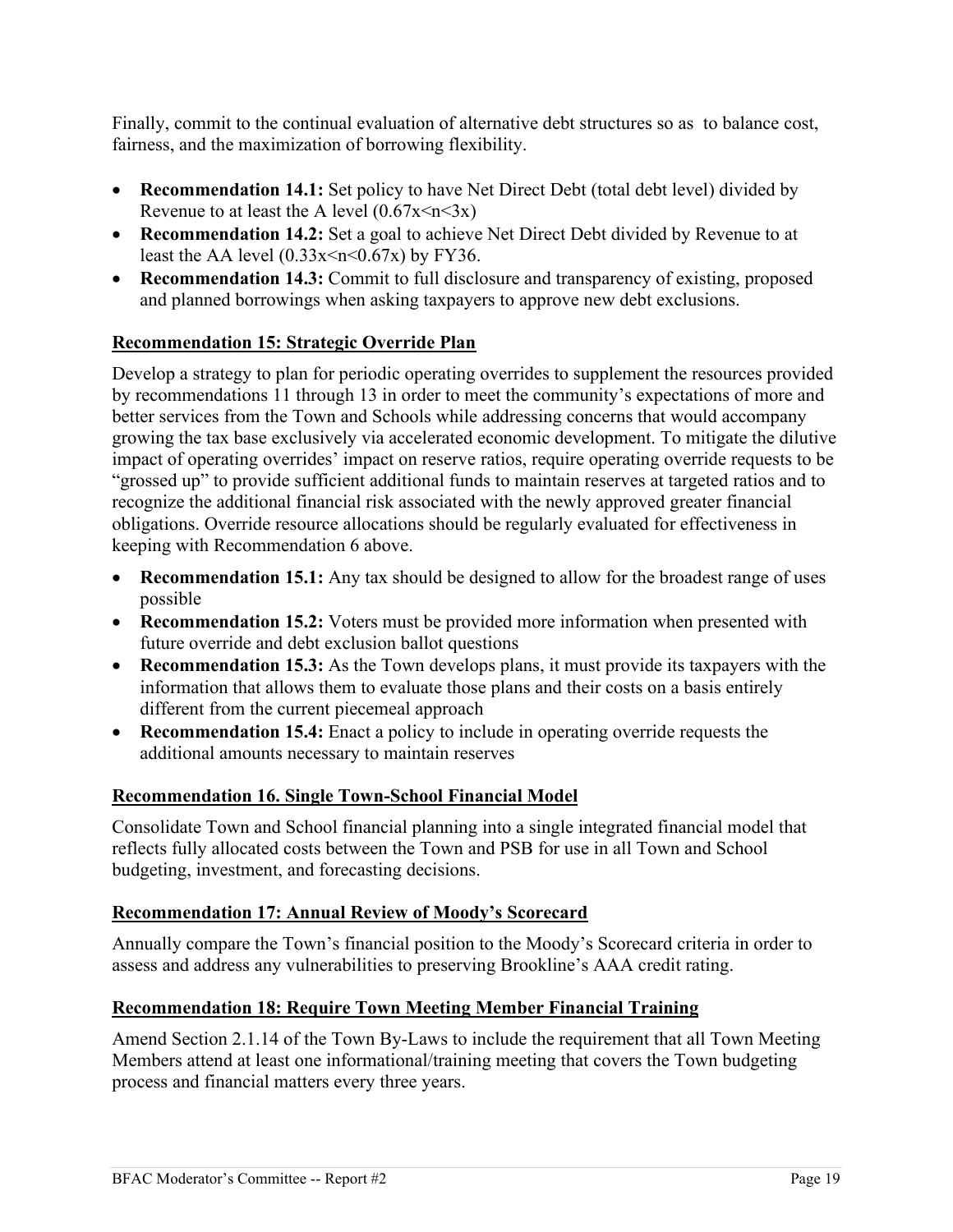Finally, commit to the continual evaluation of alternative debt structures so as to balance cost, fairness, and the maximization of borrowing flexibility.

- **Recommendation 14.1:** Set policy to have Net Direct Debt (total debt level) divided by Revenue to at least the A level  $(0.67x \le n \le 3x)$
- **Recommendation 14.2:** Set a goal to achieve Net Direct Debt divided by Revenue to at least the AA level  $(0.33x \le n \le 0.67x)$  by FY36.
- **Recommendation 14.3:** Commit to full disclosure and transparency of existing, proposed and planned borrowings when asking taxpayers to approve new debt exclusions.

#### **Recommendation 15: Strategic Override Plan**

Develop a strategy to plan for periodic operating overrides to supplement the resources provided by recommendations 11 through 13 in order to meet the community's expectations of more and better services from the Town and Schools while addressing concerns that would accompany growing the tax base exclusively via accelerated economic development. To mitigate the dilutive impact of operating overrides' impact on reserve ratios, require operating override requests to be "grossed up" to provide sufficient additional funds to maintain reserves at targeted ratios and to recognize the additional financial risk associated with the newly approved greater financial obligations. Override resource allocations should be regularly evaluated for effectiveness in keeping with Recommendation 6 above.

- **Recommendation 15.1:** Any tax should be designed to allow for the broadest range of uses possible
- **Recommendation 15.2:** Voters must be provided more information when presented with future override and debt exclusion ballot questions
- **Recommendation 15.3:** As the Town develops plans, it must provide its taxpayers with the information that allows them to evaluate those plans and their costs on a basis entirely different from the current piecemeal approach
- **Recommendation 15.4:** Enact a policy to include in operating override requests the additional amounts necessary to maintain reserves

#### **Recommendation 16. Single Town-School Financial Model**

Consolidate Town and School financial planning into a single integrated financial model that reflects fully allocated costs between the Town and PSB for use in all Town and School budgeting, investment, and forecasting decisions.

#### **Recommendation 17: Annual Review of Moody's Scorecard**

Annually compare the Town's financial position to the Moody's Scorecard criteria in order to assess and address any vulnerabilities to preserving Brookline's AAA credit rating.

#### **Recommendation 18: Require Town Meeting Member Financial Training**

Amend Section 2.1.14 of the Town By-Laws to include the requirement that all Town Meeting Members attend at least one informational/training meeting that covers the Town budgeting process and financial matters every three years.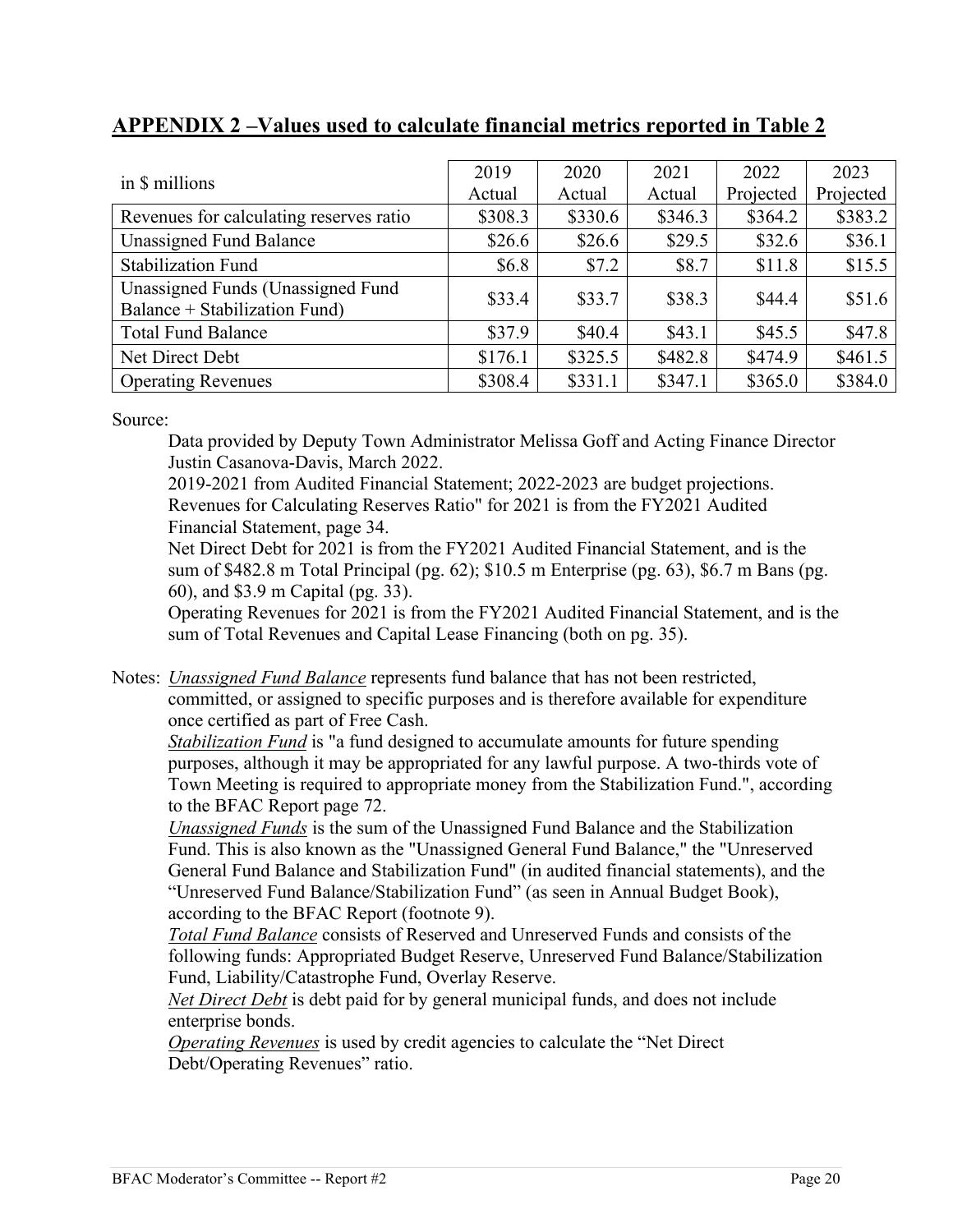|                                                                    | 2019    | 2020    | 2021    | 2022      | 2023      |
|--------------------------------------------------------------------|---------|---------|---------|-----------|-----------|
| in \$ millions                                                     | Actual  | Actual  | Actual  | Projected | Projected |
| Revenues for calculating reserves ratio                            | \$308.3 | \$330.6 | \$346.3 | \$364.2   | \$383.2   |
| <b>Unassigned Fund Balance</b>                                     | \$26.6  | \$26.6  | \$29.5  | \$32.6    | \$36.1    |
| <b>Stabilization Fund</b>                                          | \$6.8   | \$7.2   | \$8.7   | \$11.8    | \$15.5    |
| Unassigned Funds (Unassigned Fund<br>Balance + Stabilization Fund) | \$33.4  | \$33.7  | \$38.3  | \$44.4    | \$51.6    |
| <b>Total Fund Balance</b>                                          | \$37.9  | \$40.4  | \$43.1  | \$45.5    | \$47.8    |
| Net Direct Debt                                                    | \$176.1 | \$325.5 | \$482.8 | \$474.9   | \$461.5   |
| <b>Operating Revenues</b>                                          | \$308.4 | \$331.1 | \$347.1 | \$365.0   | \$384.0   |

# **APPENDIX 2 –Values used to calculate financial metrics reported in Table 2**

Source:

Data provided by Deputy Town Administrator Melissa Goff and Acting Finance Director Justin Casanova-Davis, March 2022.

2019-2021 from Audited Financial Statement; 2022-2023 are budget projections. Revenues for Calculating Reserves Ratio" for 2021 is from the FY2021 Audited Financial Statement, page 34.

Net Direct Debt for 2021 is from the FY2021 Audited Financial Statement, and is the sum of \$482.8 m Total Principal (pg. 62); \$10.5 m Enterprise (pg. 63), \$6.7 m Bans (pg. 60), and \$3.9 m Capital (pg. 33).

Operating Revenues for 2021 is from the FY2021 Audited Financial Statement, and is the sum of Total Revenues and Capital Lease Financing (both on pg. 35).

Notes: *Unassigned Fund Balance* represents fund balance that has not been restricted, committed, or assigned to specific purposes and is therefore available for expenditure once certified as part of Free Cash.

*Stabilization Fund* is "a fund designed to accumulate amounts for future spending purposes, although it may be appropriated for any lawful purpose. A two-thirds vote of Town Meeting is required to appropriate money from the Stabilization Fund.", according to the BFAC Report page 72.

*Unassigned Funds* is the sum of the Unassigned Fund Balance and the Stabilization Fund. This is also known as the "Unassigned General Fund Balance," the "Unreserved General Fund Balance and Stabilization Fund" (in audited financial statements), and the "Unreserved Fund Balance/Stabilization Fund" (as seen in Annual Budget Book), according to the BFAC Report (footnote 9).

*Total Fund Balance* consists of Reserved and Unreserved Funds and consists of the following funds: Appropriated Budget Reserve, Unreserved Fund Balance/Stabilization Fund, Liability/Catastrophe Fund, Overlay Reserve.

*Net Direct Debt* is debt paid for by general municipal funds, and does not include enterprise bonds.

*Operating Revenues* is used by credit agencies to calculate the "Net Direct Debt/Operating Revenues" ratio.